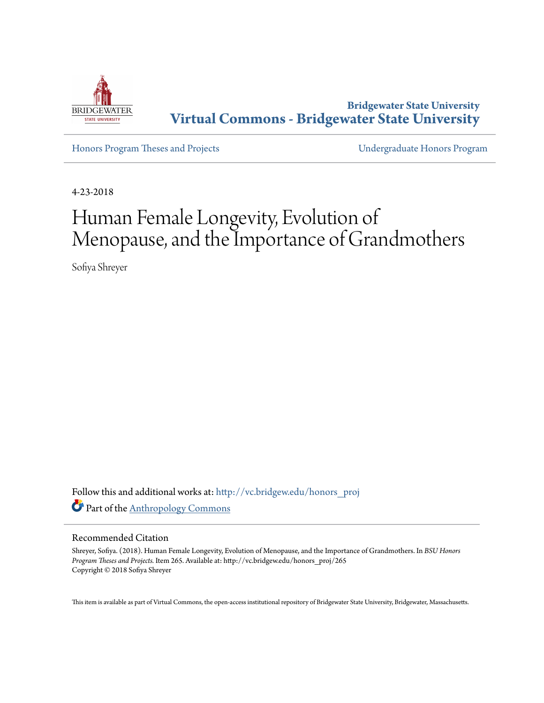

**Bridgewater State University [Virtual Commons - Bridgewater State University](http://vc.bridgew.edu?utm_source=vc.bridgew.edu%2Fhonors_proj%2F265&utm_medium=PDF&utm_campaign=PDFCoverPages)**

[Honors Program Theses and Projects](http://vc.bridgew.edu/honors_proj?utm_source=vc.bridgew.edu%2Fhonors_proj%2F265&utm_medium=PDF&utm_campaign=PDFCoverPages) [Undergraduate Honors Program](http://vc.bridgew.edu/honors?utm_source=vc.bridgew.edu%2Fhonors_proj%2F265&utm_medium=PDF&utm_campaign=PDFCoverPages)

4-23-2018

# Human Female Longevity, Evolution of Menopause, and the Importance of Grandmothers

Sofiya Shreyer

Follow this and additional works at: [http://vc.bridgew.edu/honors\\_proj](http://vc.bridgew.edu/honors_proj?utm_source=vc.bridgew.edu%2Fhonors_proj%2F265&utm_medium=PDF&utm_campaign=PDFCoverPages) Part of the [Anthropology Commons](http://network.bepress.com/hgg/discipline/318?utm_source=vc.bridgew.edu%2Fhonors_proj%2F265&utm_medium=PDF&utm_campaign=PDFCoverPages)

#### Recommended Citation

Shreyer, Sofiya. (2018). Human Female Longevity, Evolution of Menopause, and the Importance of Grandmothers. In *BSU Honors Program Theses and Projects.* Item 265. Available at: http://vc.bridgew.edu/honors\_proj/265 Copyright © 2018 Sofiya Shreyer

This item is available as part of Virtual Commons, the open-access institutional repository of Bridgewater State University, Bridgewater, Massachusetts.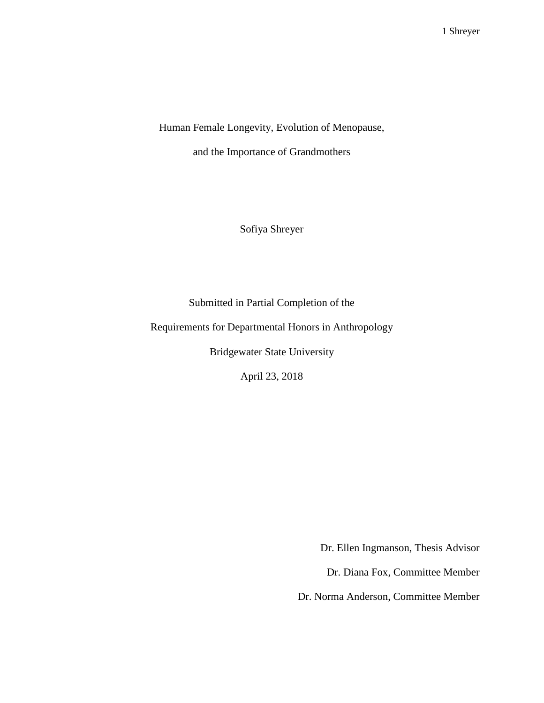Human Female Longevity, Evolution of Menopause,

and the Importance of Grandmothers

Sofiya Shreyer

Submitted in Partial Completion of the

Requirements for Departmental Honors in Anthropology

Bridgewater State University

April 23, 2018

Dr. Ellen Ingmanson, Thesis Advisor

Dr. Diana Fox, Committee Member

Dr. Norma Anderson, Committee Member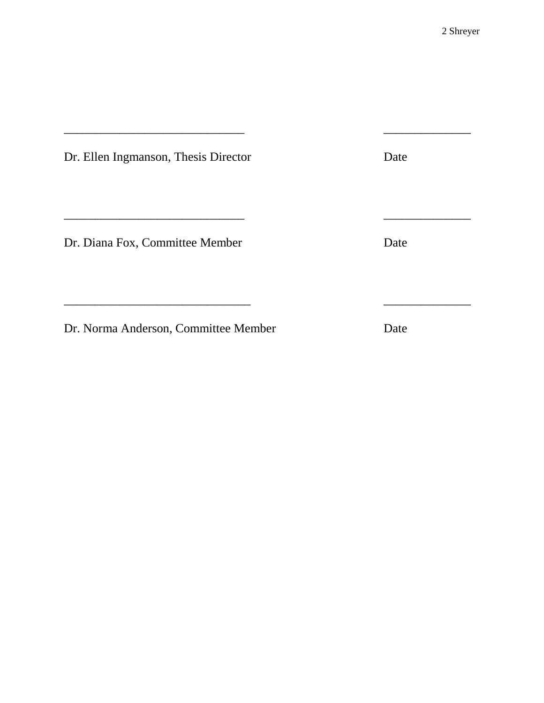| Dr. Ellen Ingmanson, Thesis Director | Date |
|--------------------------------------|------|
|                                      |      |
| Dr. Diana Fox, Committee Member      | Date |
|                                      |      |
| Dr. Norma Anderson, Committee Member | Date |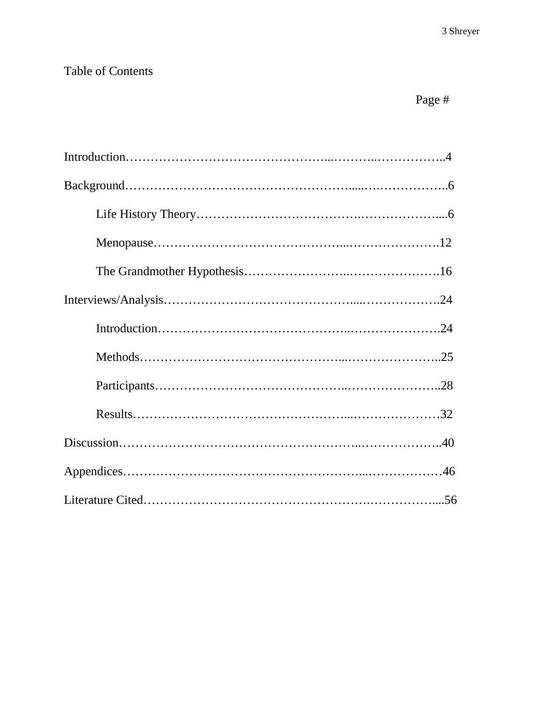# Table of Contents

# Page #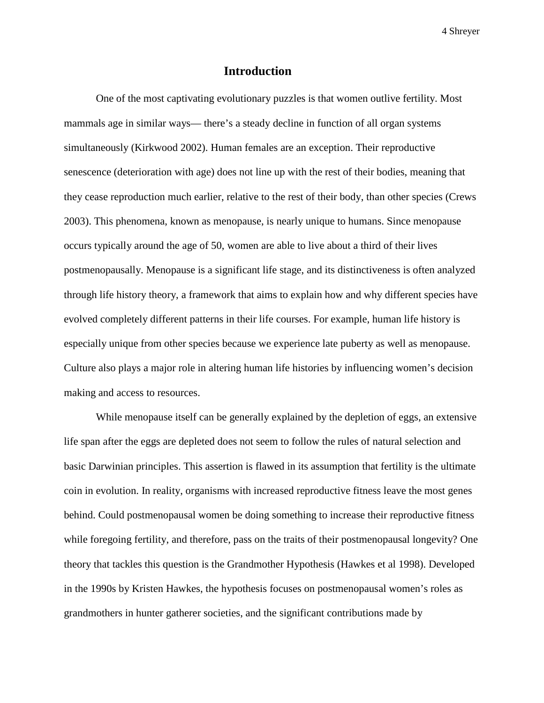#### **Introduction**

One of the most captivating evolutionary puzzles is that women outlive fertility. Most mammals age in similar ways— there's a steady decline in function of all organ systems simultaneously (Kirkwood 2002). Human females are an exception. Their reproductive senescence (deterioration with age) does not line up with the rest of their bodies, meaning that they cease reproduction much earlier, relative to the rest of their body, than other species (Crews 2003). This phenomena, known as menopause, is nearly unique to humans. Since menopause occurs typically around the age of 50, women are able to live about a third of their lives postmenopausally. Menopause is a significant life stage, and its distinctiveness is often analyzed through life history theory, a framework that aims to explain how and why different species have evolved completely different patterns in their life courses. For example, human life history is especially unique from other species because we experience late puberty as well as menopause. Culture also plays a major role in altering human life histories by influencing women's decision making and access to resources.

While menopause itself can be generally explained by the depletion of eggs, an extensive life span after the eggs are depleted does not seem to follow the rules of natural selection and basic Darwinian principles. This assertion is flawed in its assumption that fertility is the ultimate coin in evolution. In reality, organisms with increased reproductive fitness leave the most genes behind. Could postmenopausal women be doing something to increase their reproductive fitness while foregoing fertility, and therefore, pass on the traits of their postmenopausal longevity? One theory that tackles this question is the Grandmother Hypothesis (Hawkes et al 1998). Developed in the 1990s by Kristen Hawkes, the hypothesis focuses on postmenopausal women's roles as grandmothers in hunter gatherer societies, and the significant contributions made by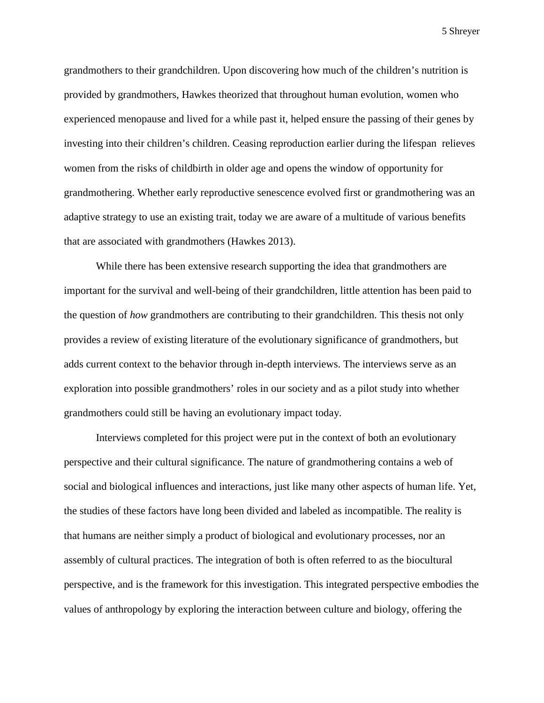grandmothers to their grandchildren. Upon discovering how much of the children's nutrition is provided by grandmothers, Hawkes theorized that throughout human evolution, women who experienced menopause and lived for a while past it, helped ensure the passing of their genes by investing into their children's children. Ceasing reproduction earlier during the lifespan relieves women from the risks of childbirth in older age and opens the window of opportunity for grandmothering. Whether early reproductive senescence evolved first or grandmothering was an adaptive strategy to use an existing trait, today we are aware of a multitude of various benefits that are associated with grandmothers (Hawkes 2013).

While there has been extensive research supporting the idea that grandmothers are important for the survival and well-being of their grandchildren, little attention has been paid to the question of *how* grandmothers are contributing to their grandchildren. This thesis not only provides a review of existing literature of the evolutionary significance of grandmothers, but adds current context to the behavior through in-depth interviews. The interviews serve as an exploration into possible grandmothers' roles in our society and as a pilot study into whether grandmothers could still be having an evolutionary impact today.

Interviews completed for this project were put in the context of both an evolutionary perspective and their cultural significance. The nature of grandmothering contains a web of social and biological influences and interactions, just like many other aspects of human life. Yet, the studies of these factors have long been divided and labeled as incompatible. The reality is that humans are neither simply a product of biological and evolutionary processes, nor an assembly of cultural practices. The integration of both is often referred to as the biocultural perspective, and is the framework for this investigation. This integrated perspective embodies the values of anthropology by exploring the interaction between culture and biology, offering the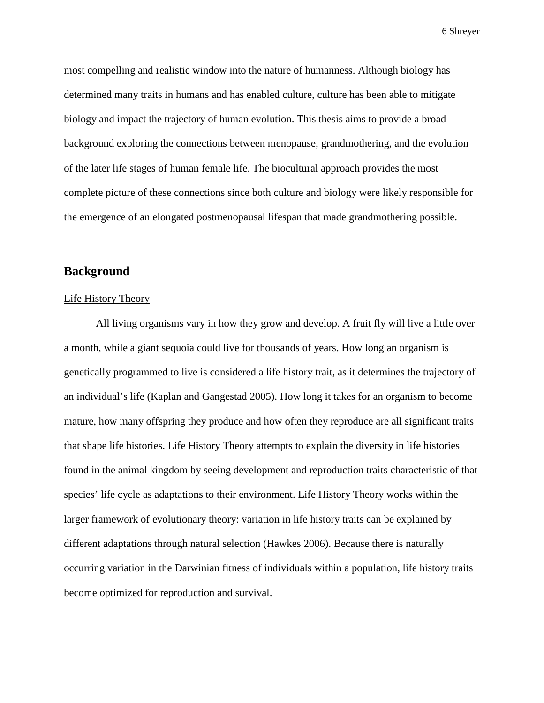most compelling and realistic window into the nature of humanness. Although biology has determined many traits in humans and has enabled culture, culture has been able to mitigate biology and impact the trajectory of human evolution. This thesis aims to provide a broad background exploring the connections between menopause, grandmothering, and the evolution of the later life stages of human female life. The biocultural approach provides the most complete picture of these connections since both culture and biology were likely responsible for the emergence of an elongated postmenopausal lifespan that made grandmothering possible.

#### **Background**

#### Life History Theory

All living organisms vary in how they grow and develop. A fruit fly will live a little over a month, while a giant sequoia could live for thousands of years. How long an organism is genetically programmed to live is considered a life history trait, as it determines the trajectory of an individual's life (Kaplan and Gangestad 2005). How long it takes for an organism to become mature, how many offspring they produce and how often they reproduce are all significant traits that shape life histories. Life History Theory attempts to explain the diversity in life histories found in the animal kingdom by seeing development and reproduction traits characteristic of that species' life cycle as adaptations to their environment. Life History Theory works within the larger framework of evolutionary theory: variation in life history traits can be explained by different adaptations through natural selection (Hawkes 2006). Because there is naturally occurring variation in the Darwinian fitness of individuals within a population, life history traits become optimized for reproduction and survival.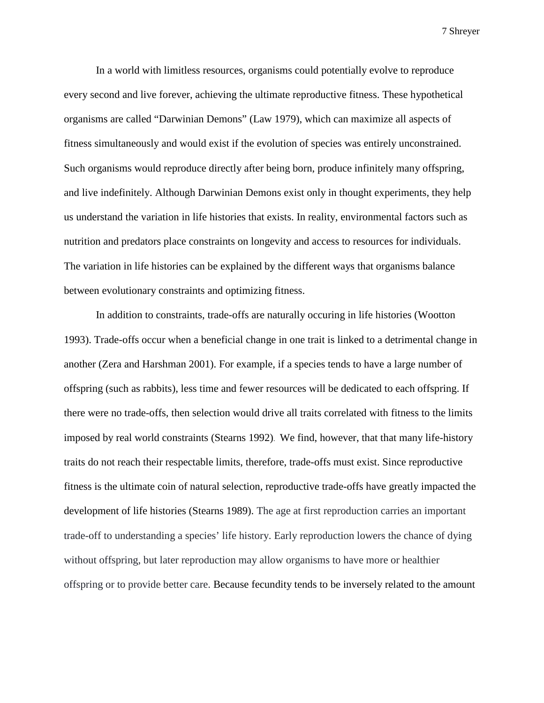In a world with limitless resources, organisms could potentially evolve to reproduce every second and live forever, achieving the ultimate reproductive fitness. These hypothetical organisms are called "Darwinian Demons" (Law 1979), which can maximize all aspects o[f](https://en.wikipedia.org/wiki/Fitness_(biology)) [fitness](https://en.wikipedia.org/wiki/Fitness_(biology)) simultaneously and would exist if the [evolution](https://en.wikipedia.org/wiki/Evolution) of [species](https://en.wikipedia.org/wiki/Species) was entirely unconstrained. Such organisms would [reproduce](https://en.wikipedia.org/wiki/Reproduction) directly after being born, produce infinitely many offspring, and live indefinitely. Although Darwinian Demons exist only in thought experiments, they help us understand the variation in life histories that exists. In reality, environmental factors such as nutrition and predators place constraints on longevity and access to resources for individuals. The variation in life histories can be explained by the different ways that organisms balance between evolutionary constraints and optimizing fitness.

In addition to constraints, trade-offs are naturally occuring in life histories (Wootton 1993). Trade-offs occur when a beneficial change in one trait is linked to a detrimental change in another (Zera and Harshman 2001). For example, if a species tends to have a large number of offspring (such as rabbits), less time and fewer resources will be dedicated to each offspring. If there were no trade-offs, then selection would drive all traits correlated with fitness to the limits imposed by real world constraints (Stearns 1992). We find, however, that that many life-history traits do not reach their respectable limits, therefore, trade-offs must exist. Since reproductive fitness is the ultimate coin of natural selection, reproductive trade-offs have greatly impacted the development of life histories (Stearns 1989). The age at first reproduction carries an important trade-off to understanding a species' life history. Early reproduction lowers the chance of dying without offspring, but later reproduction may allow organisms to have more or healthier offspring or to provide better care. Because fecundity tends to be inversely related to the amount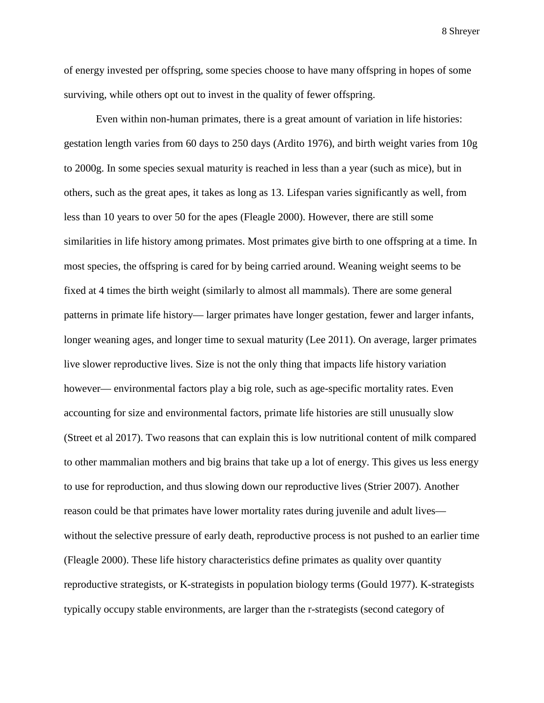of energy invested per offspring, some species choose to have many offspring in hopes of some surviving, while others opt out to invest in the quality of fewer offspring.

Even within non-human primates, there is a great amount of variation in life histories: gestation length varies from 60 days to 250 days (Ardito 1976), and birth weight varies from 10g to 2000g. In some species sexual maturity is reached in less than a year (such as mice), but in others, such as the great apes, it takes as long as 13. Lifespan varies significantly as well, from less than 10 years to over 50 for the apes (Fleagle 2000). However, there are still some similarities in life history among primates. Most primates give birth to one offspring at a time. In most species, the offspring is cared for by being carried around. Weaning weight seems to be fixed at 4 times the birth weight (similarly to almost all mammals). There are some general patterns in primate life history— larger primates have longer gestation, fewer and larger infants, longer weaning ages, and longer time to sexual maturity (Lee 2011). On average, larger primates live slower reproductive lives. Size is not the only thing that impacts life history variation however— environmental factors play a big role, such as age-specific mortality rates. Even accounting for size and environmental factors, primate life histories are still unusually slow (Street et al 2017). Two reasons that can explain this is low nutritional content of milk compared to other mammalian mothers and big brains that take up a lot of energy. This gives us less energy to use for reproduction, and thus slowing down our reproductive lives (Strier 2007). Another reason could be that primates have lower mortality rates during juvenile and adult lives without the selective pressure of early death, reproductive process is not pushed to an earlier time (Fleagle 2000). These life history characteristics define primates as quality over quantity reproductive strategists, or K-strategists in population biology terms (Gould 1977). K-strategists typically occupy stable environments, are larger than the r-strategists (second category of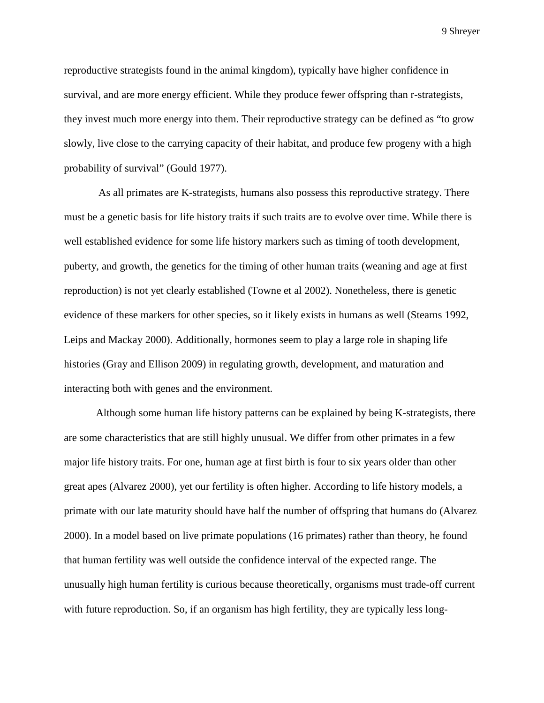reproductive strategists found in the animal kingdom), typically have higher confidence in survival, and are more energy efficient. While they produce fewer offspring than r-strategists, they invest much more energy into them. Their reproductive strategy can be defined as "to grow slowly, live close to the carrying capacity of their habitat, and produce few progeny with a high probability of survival" (Gould 1977).

As all primates are K-strategists, humans also possess this reproductive strategy. There must be a genetic basis for life history traits if such traits are to evolve over time. While there is well established evidence for some life history markers such as timing of tooth development, puberty, and growth, the genetics for the timing of other human traits (weaning and age at first reproduction) is not yet clearly established (Towne et al 2002). Nonetheless, there is genetic evidence of these markers for other species, so it likely exists in humans as well (Stearns 1992, Leips and Mackay 2000). Additionally, hormones seem to play a large role in shaping life histories (Gray and Ellison 2009) in regulating growth, development, and maturation and interacting both with genes and the environment.

Although some human life history patterns can be explained by being K-strategists, there are some characteristics that are still highly unusual. We differ from other primates in a few major life history traits. For one, human age at first birth is four to six years older than other great apes (Alvarez 2000), yet our fertility is often higher. According to life history models, a primate with our late maturity should have half the number of offspring that humans do (Alvarez 2000). In a model based on live primate populations (16 primates) rather than theory, he found that human fertility was well outside the confidence interval of the expected range. The unusually high human fertility is curious because theoretically, organisms must trade-off current with future reproduction. So, if an organism has high fertility, they are typically less long-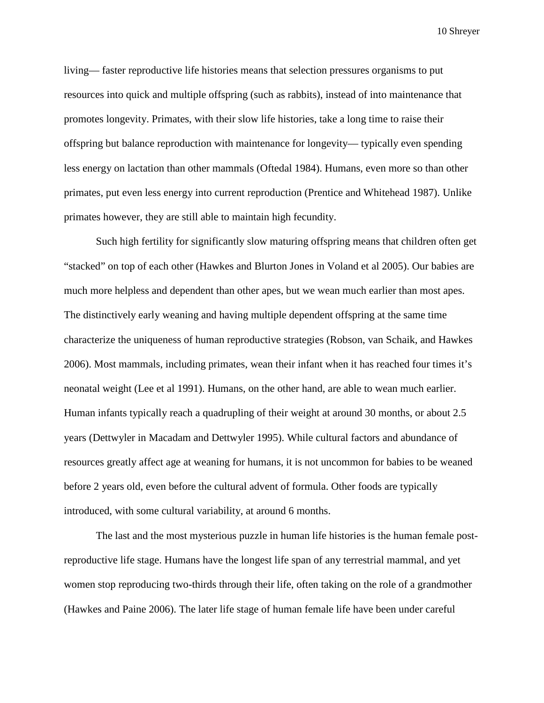living— faster reproductive life histories means that selection pressures organisms to put resources into quick and multiple offspring (such as rabbits), instead of into maintenance that promotes longevity. Primates, with their slow life histories, take a long time to raise their offspring but balance reproduction with maintenance for longevity— typically even spending less energy on lactation than other mammals (Oftedal 1984). Humans, even more so than other primates, put even less energy into current reproduction (Prentice and Whitehead 1987). Unlike primates however, they are still able to maintain high fecundity.

Such high fertility for significantly slow maturing offspring means that children often get "stacked" on top of each other (Hawkes and Blurton Jones in Voland et al 2005). Our babies are much more helpless and dependent than other apes, but we wean much earlier than most apes. The distinctively early weaning and having multiple dependent offspring at the same time characterize the uniqueness of human reproductive strategies (Robson, van Schaik, and Hawkes 2006). Most mammals, including primates, wean their infant when it has reached four times it's neonatal weight (Lee et al 1991). Humans, on the other hand, are able to wean much earlier. Human infants typically reach a quadrupling of their weight at around 30 months, or about 2.5 years (Dettwyler in Macadam and Dettwyler 1995). While cultural factors and abundance of resources greatly affect age at weaning for humans, it is not uncommon for babies to be weaned before 2 years old, even before the cultural advent of formula. Other foods are typically introduced, with some cultural variability, at around 6 months.

The last and the most mysterious puzzle in human life histories is the human female postreproductive life stage. Humans have the longest life span of any terrestrial mammal, and yet women stop reproducing two-thirds through their life, often taking on the role of a grandmother (Hawkes and Paine 2006). The later life stage of human female life have been under careful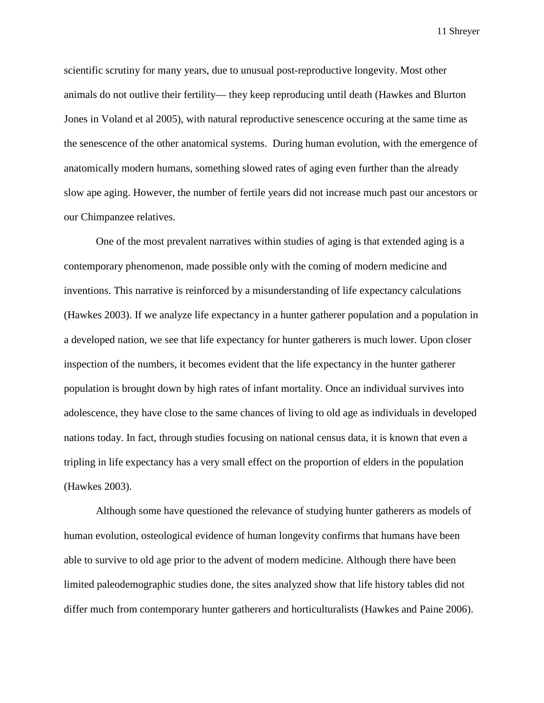scientific scrutiny for many years, due to unusual post-reproductive longevity. Most other animals do not outlive their fertility— they keep reproducing until death (Hawkes and Blurton Jones in Voland et al 2005), with natural reproductive senescence occuring at the same time as the senescence of the other anatomical systems. During human evolution, with the emergence of anatomically modern humans, something slowed rates of aging even further than the already slow ape aging. However, the number of fertile years did not increase much past our ancestors or our Chimpanzee relatives.

One of the most prevalent narratives within studies of aging is that extended aging is a contemporary phenomenon, made possible only with the coming of modern medicine and inventions. This narrative is reinforced by a misunderstanding of life expectancy calculations (Hawkes 2003). If we analyze life expectancy in a hunter gatherer population and a population in a developed nation, we see that life expectancy for hunter gatherers is much lower. Upon closer inspection of the numbers, it becomes evident that the life expectancy in the hunter gatherer population is brought down by high rates of infant mortality. Once an individual survives into adolescence, they have close to the same chances of living to old age as individuals in developed nations today. In fact, through studies focusing on national census data, it is known that even a tripling in life expectancy has a very small effect on the proportion of elders in the population (Hawkes 2003).

Although some have questioned the relevance of studying hunter gatherers as models of human evolution, osteological evidence of human longevity confirms that humans have been able to survive to old age prior to the advent of modern medicine. Although there have been limited paleodemographic studies done, the sites analyzed show that life history tables did not differ much from contemporary hunter gatherers and horticulturalists (Hawkes and Paine 2006).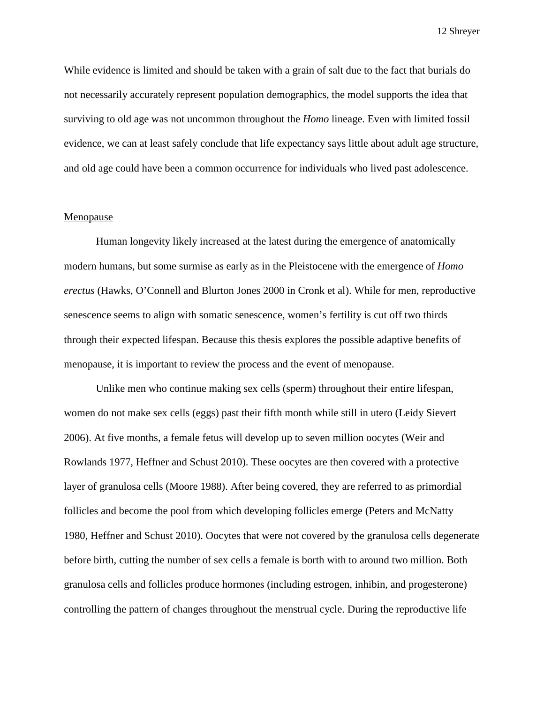While evidence is limited and should be taken with a grain of salt due to the fact that burials do not necessarily accurately represent population demographics, the model supports the idea that surviving to old age was not uncommon throughout the *Homo* lineage. Even with limited fossil evidence, we can at least safely conclude that life expectancy says little about adult age structure, and old age could have been a common occurrence for individuals who lived past adolescence.

#### Menopause

Human longevity likely increased at the latest during the emergence of anatomically modern humans, but some surmise as early as in the Pleistocene with the emergence of *Homo erectus* (Hawks, O'Connell and Blurton Jones 2000 in Cronk et al). While for men, reproductive senescence seems to align with somatic senescence, women's fertility is cut off two thirds through their expected lifespan. Because this thesis explores the possible adaptive benefits of menopause, it is important to review the process and the event of menopause.

Unlike men who continue making sex cells (sperm) throughout their entire lifespan, women do not make sex cells (eggs) past their fifth month while still in utero (Leidy Sievert 2006). At five months, a female fetus will develop up to seven million oocytes (Weir and Rowlands 1977, Heffner and Schust 2010). These oocytes are then covered with a protective layer of granulosa cells (Moore 1988). After being covered, they are referred to as primordial follicles and become the pool from which developing follicles emerge (Peters and McNatty 1980, Heffner and Schust 2010). Oocytes that were not covered by the granulosa cells degenerate before birth, cutting the number of sex cells a female is borth with to around two million. Both granulosa cells and follicles produce hormones (including estrogen, inhibin, and progesterone) controlling the pattern of changes throughout the menstrual cycle. During the reproductive life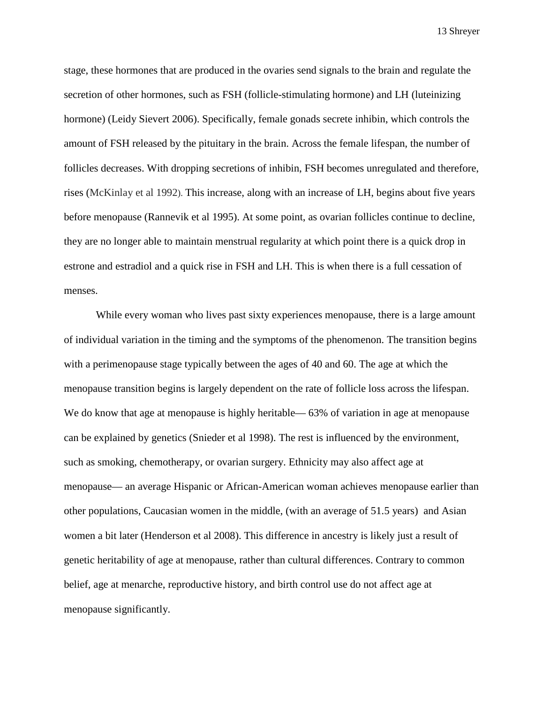stage, these hormones that are produced in the ovaries send signals to the brain and regulate the secretion of other hormones, such as FSH (follicle-stimulating hormone) and LH (luteinizing hormone) (Leidy Sievert 2006). Specifically, female gonads secrete inhibin, which controls the amount of FSH released by the pituitary in the brain. Across the female lifespan, the number of follicles decreases. With dropping secretions of inhibin, FSH becomes unregulated and therefore, rises (McKinlay et al 1992). This increase, along with an increase of LH, begins about five years before menopause (Rannevik et al 1995). At some point, as ovarian follicles continue to decline, they are no longer able to maintain menstrual regularity at which point there is a quick drop in estrone and estradiol and a quick rise in FSH and LH. This is when there is a full cessation of menses.

While every woman who lives past sixty experiences menopause, there is a large amount of individual variation in the timing and the symptoms of the phenomenon. The transition begins with a perimenopause stage typically between the ages of 40 and 60. The age at which the menopause transition begins is largely dependent on the rate of follicle loss across the lifespan. We do know that age at menopause is highly heritable— 63% of variation in age at menopause can be explained by genetics (Snieder et al 1998). The rest is influenced by the environment, such as smoking, chemotherapy, or ovarian surgery. Ethnicity may also affect age at menopause— an average Hispanic or African-American woman achieves menopause earlier than other populations, Caucasian women in the middle, (with an average of 51.5 years) and Asian women a bit later (Henderson et al 2008). This difference in ancestry is likely just a result of genetic heritability of age at menopause, rather than cultural differences. Contrary to common belief, age at menarche, reproductive history, and birth control use do not affect age at menopause significantly.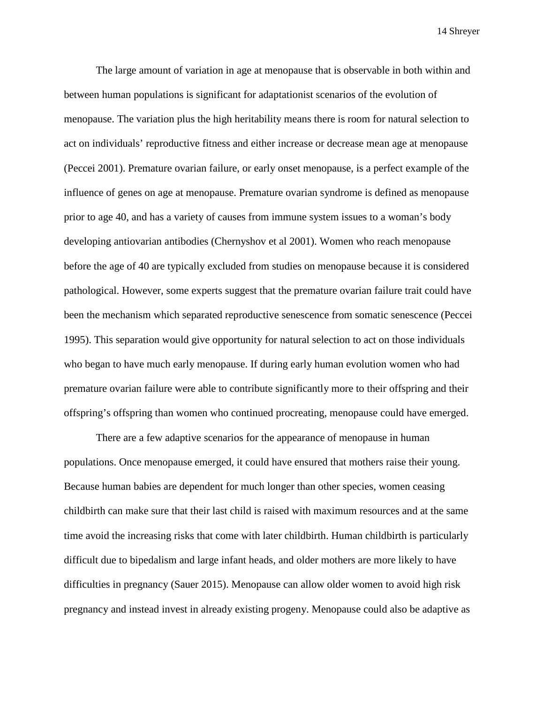The large amount of variation in age at menopause that is observable in both within and between human populations is significant for adaptationist scenarios of the evolution of menopause. The variation plus the high heritability means there is room for natural selection to act on individuals' reproductive fitness and either increase or decrease mean age at menopause (Peccei 2001). Premature ovarian failure, or early onset menopause, is a perfect example of the influence of genes on age at menopause. Premature ovarian syndrome is defined as menopause prior to age 40, and has a variety of causes from immune system issues to a woman's body developing antiovarian antibodies (Chernyshov et al 2001). Women who reach menopause before the age of 40 are typically excluded from studies on menopause because it is considered pathological. However, some experts suggest that the premature ovarian failure trait could have been the mechanism which separated reproductive senescence from somatic senescence (Peccei 1995). This separation would give opportunity for natural selection to act on those individuals who began to have much early menopause. If during early human evolution women who had premature ovarian failure were able to contribute significantly more to their offspring and their offspring's offspring than women who continued procreating, menopause could have emerged.

There are a few adaptive scenarios for the appearance of menopause in human populations. Once menopause emerged, it could have ensured that mothers raise their young. Because human babies are dependent for much longer than other species, women ceasing childbirth can make sure that their last child is raised with maximum resources and at the same time avoid the increasing risks that come with later childbirth. Human childbirth is particularly difficult due to bipedalism and large infant heads, and older mothers are more likely to have difficulties in pregnancy (Sauer 2015). Menopause can allow older women to avoid high risk pregnancy and instead invest in already existing progeny. Menopause could also be adaptive as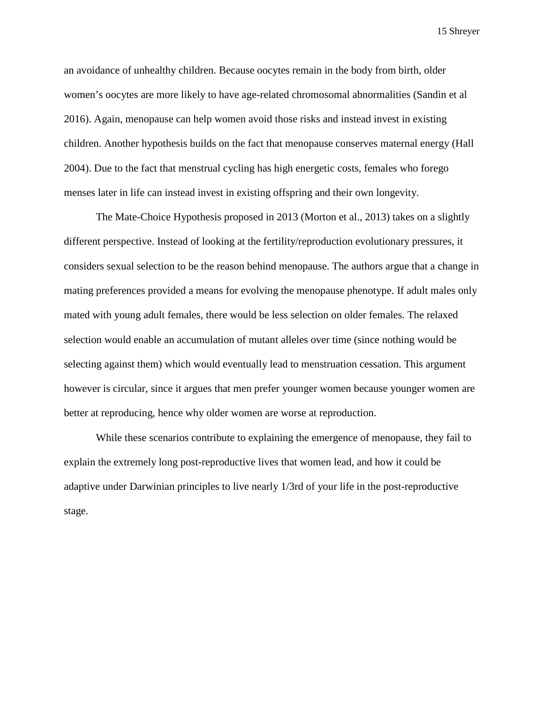an avoidance of unhealthy children. Because oocytes remain in the body from birth, older women's oocytes are more likely to have age-related chromosomal abnormalities (Sandin et al 2016). Again, menopause can help women avoid those risks and instead invest in existing children. Another hypothesis builds on the fact that menopause conserves maternal energy (Hall 2004). Due to the fact that menstrual cycling has high energetic costs, females who forego menses later in life can instead invest in existing offspring and their own longevity.

The Mate-Choice Hypothesis proposed in 2013 (Morton et al., 2013) takes on a slightly different perspective. Instead of looking at the fertility/reproduction evolutionary pressures, it considers sexual selection to be the reason behind menopause. The authors argue that a change in mating preferences provided a means for evolving the menopause phenotype. If adult males only mated with young adult females, there would be less selection on older females. The relaxed selection would enable an accumulation of mutant alleles over time (since nothing would be selecting against them) which would eventually lead to menstruation cessation. This argument however is circular, since it argues that men prefer younger women because younger women are better at reproducing, hence why older women are worse at reproduction.

While these scenarios contribute to explaining the emergence of menopause, they fail to explain the extremely long post-reproductive lives that women lead, and how it could be adaptive under Darwinian principles to live nearly 1/3rd of your life in the post-reproductive stage.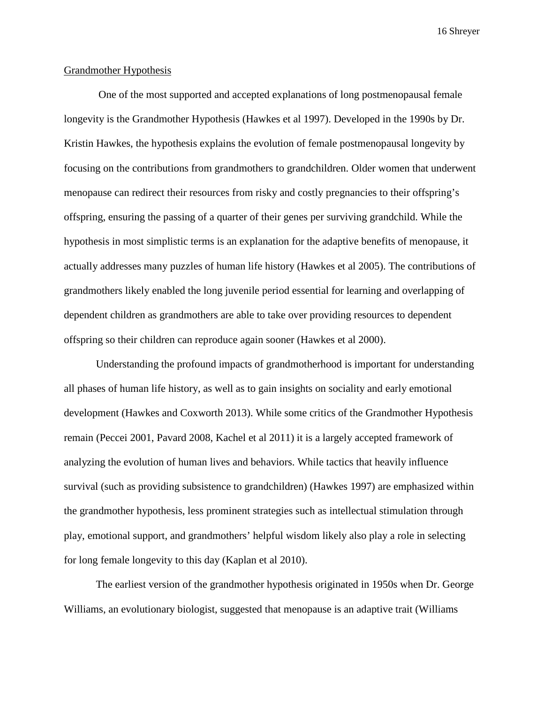#### Grandmother Hypothesis

One of the most supported and accepted explanations of long postmenopausal female longevity is the Grandmother Hypothesis (Hawkes et al 1997). Developed in the 1990s by Dr. Kristin Hawkes, the hypothesis explains the evolution of female postmenopausal longevity by focusing on the contributions from grandmothers to grandchildren. Older women that underwent menopause can redirect their resources from risky and costly pregnancies to their offspring's offspring, ensuring the passing of a quarter of their genes per surviving grandchild. While the hypothesis in most simplistic terms is an explanation for the adaptive benefits of menopause, it actually addresses many puzzles of human life history (Hawkes et al 2005). The contributions of grandmothers likely enabled the long juvenile period essential for learning and overlapping of dependent children as grandmothers are able to take over providing resources to dependent offspring so their children can reproduce again sooner (Hawkes et al 2000).

Understanding the profound impacts of grandmotherhood is important for understanding all phases of human life history, as well as to gain insights on sociality and early emotional development (Hawkes and Coxworth 2013). While some critics of the Grandmother Hypothesis remain (Peccei 2001, Pavard 2008, Kachel et al 2011) it is a largely accepted framework of analyzing the evolution of human lives and behaviors. While tactics that heavily influence survival (such as providing subsistence to grandchildren) (Hawkes 1997) are emphasized within the grandmother hypothesis, less prominent strategies such as intellectual stimulation through play, emotional support, and grandmothers' helpful wisdom likely also play a role in selecting for long female longevity to this day (Kaplan et al 2010).

The earliest version of the grandmother hypothesis originated in 1950s when Dr. George Williams, an evolutionary biologist, suggested that menopause is an adaptive trait (Williams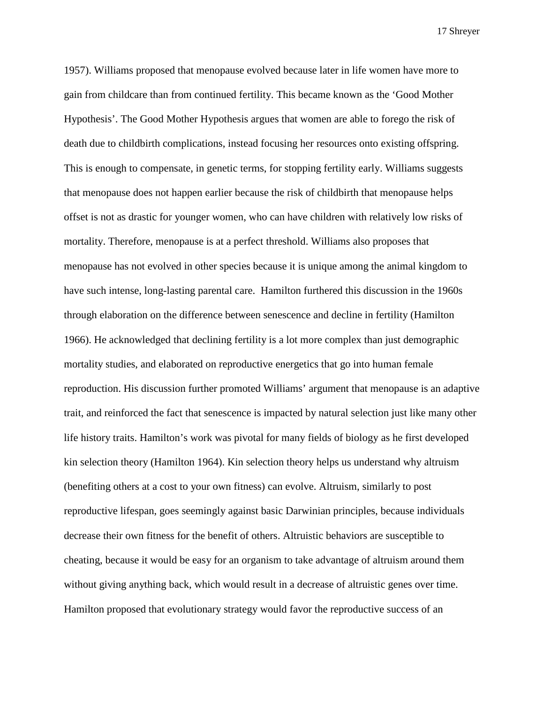1957). Williams proposed that menopause evolved because later in life women have more to gain from childcare than from continued fertility. This became known as the 'Good Mother Hypothesis'. The Good Mother Hypothesis argues that women are able to forego the risk of death due to childbirth complications, instead focusing her resources onto existing offspring. This is enough to compensate, in genetic terms, for stopping fertility early. Williams suggests that menopause does not happen earlier because the risk of childbirth that menopause helps offset is not as drastic for younger women, who can have children with relatively low risks of mortality. Therefore, menopause is at a perfect threshold. Williams also proposes that menopause has not evolved in other species because it is unique among the animal kingdom to have such intense, long-lasting parental care. Hamilton furthered this discussion in the 1960s through elaboration on the difference between senescence and decline in fertility (Hamilton 1966). He acknowledged that declining fertility is a lot more complex than just demographic mortality studies, and elaborated on reproductive energetics that go into human female reproduction. His discussion further promoted Williams' argument that menopause is an adaptive trait, and reinforced the fact that senescence is impacted by natural selection just like many other life history traits. Hamilton's work was pivotal for many fields of biology as he first developed kin selection theory (Hamilton 1964). Kin selection theory helps us understand why altruism (benefiting others at a cost to your own fitness) can evolve. Altruism, similarly to post reproductive lifespan, goes seemingly against basic Darwinian principles, because individuals decrease their own fitness for the benefit of others. Altruistic behaviors are susceptible to cheating, because it would be easy for an organism to take advantage of altruism around them without giving anything back, which would result in a decrease of altruistic genes over time. Hamilton proposed that evolutionary strategy would favor the reproductive success of an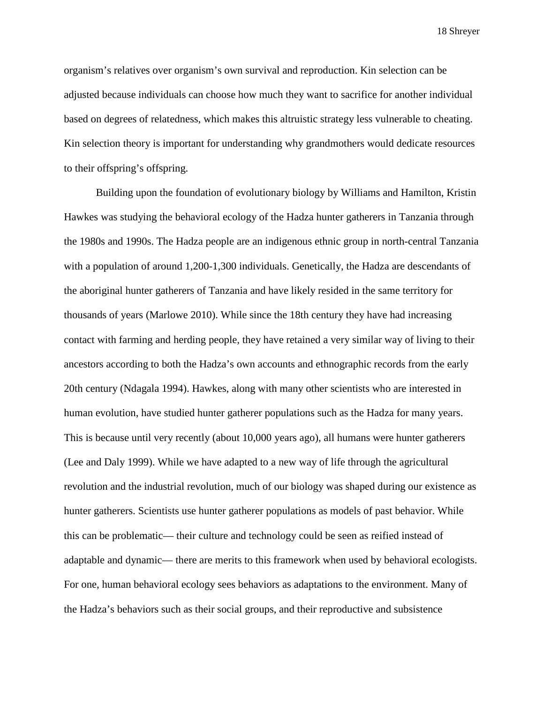organism's relatives over organism's own survival and reproduction. Kin selection can be adjusted because individuals can choose how much they want to sacrifice for another individual based on degrees of relatedness, which makes this altruistic strategy less vulnerable to cheating. Kin selection theory is important for understanding why grandmothers would dedicate resources to their offspring's offspring.

Building upon the foundation of evolutionary biology by Williams and Hamilton, Kristin Hawkes was studying the behavioral ecology of the Hadza hunter gatherers in Tanzania through the 1980s and 1990s. The Hadza people are an indigenous ethnic group in north-central Tanzania with a population of around 1,200-1,300 individuals. Genetically, the Hadza are descendants of the aboriginal hunter gatherers of Tanzania and have likely resided in the same territory for thousands of years (Marlowe 2010). While since the 18th century they have had increasing contact with farming and herding people, they have retained a very similar way of living to their ancestors according to both the Hadza's own accounts and ethnographic records from the early 20th century (Ndagala 1994). Hawkes, along with many other scientists who are interested in human evolution, have studied hunter gatherer populations such as the Hadza for many years. This is because until very recently (about 10,000 years ago), all humans were hunter gatherers (Lee and Daly 1999). While we have adapted to a new way of life through the agricultural revolution and the industrial revolution, much of our biology was shaped during our existence as hunter gatherers. Scientists use hunter gatherer populations as models of past behavior. While this can be problematic— their culture and technology could be seen as reified instead of adaptable and dynamic— there are merits to this framework when used by behavioral ecologists. For one, human behavioral ecology sees behaviors as adaptations to the environment. Many of the Hadza's behaviors such as their social groups, and their reproductive and subsistence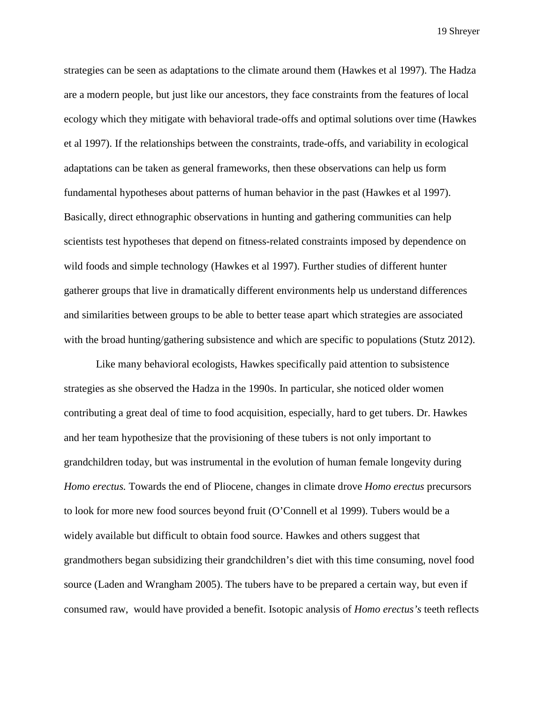strategies can be seen as adaptations to the climate around them (Hawkes et al 1997). The Hadza are a modern people, but just like our ancestors, they face constraints from the features of local ecology which they mitigate with behavioral trade-offs and optimal solutions over time (Hawkes et al 1997). If the relationships between the constraints, trade-offs, and variability in ecological adaptations can be taken as general frameworks, then these observations can help us form fundamental hypotheses about patterns of human behavior in the past (Hawkes et al 1997). Basically, direct ethnographic observations in hunting and gathering communities can help scientists test hypotheses that depend on fitness-related constraints imposed by dependence on wild foods and simple technology (Hawkes et al 1997). Further studies of different hunter gatherer groups that live in dramatically different environments help us understand differences and similarities between groups to be able to better tease apart which strategies are associated with the broad hunting/gathering subsistence and which are specific to populations (Stutz 2012).

Like many behavioral ecologists, Hawkes specifically paid attention to subsistence strategies as she observed the Hadza in the 1990s. In particular, she noticed older women contributing a great deal of time to food acquisition, especially, hard to get tubers. Dr. Hawkes and her team hypothesize that the provisioning of these tubers is not only important to grandchildren today, but was instrumental in the evolution of human female longevity during *Homo erectus.* Towards the end of Pliocene, changes in climate drove *Homo erectus* precursors to look for more new food sources beyond fruit (O'Connell et al 1999). Tubers would be a widely available but difficult to obtain food source. Hawkes and others suggest that grandmothers began subsidizing their grandchildren's diet with this time consuming, novel food source (Laden and Wrangham 2005). The tubers have to be prepared a certain way, but even if consumed raw, would have provided a benefit. Isotopic analysis of *Homo erectus's* teeth reflects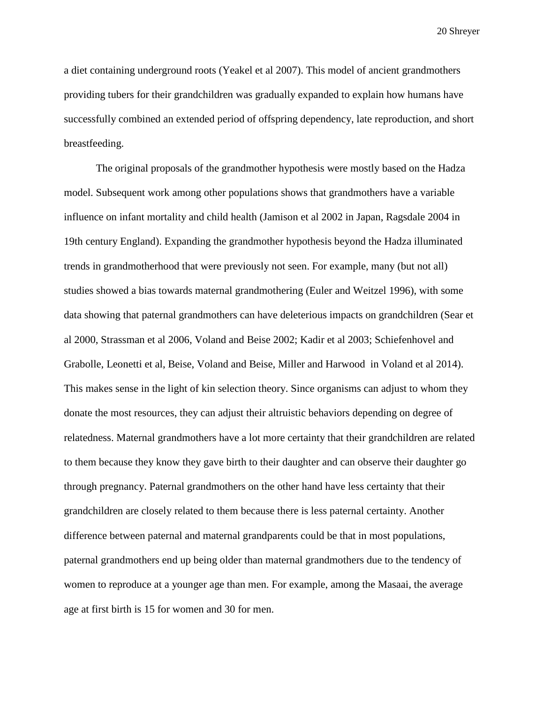a diet containing underground roots (Yeakel et al 2007). This model of ancient grandmothers providing tubers for their grandchildren was gradually expanded to explain how humans have successfully combined an extended period of offspring dependency, late reproduction, and short breastfeeding.

The original proposals of the grandmother hypothesis were mostly based on the Hadza model. Subsequent work among other populations shows that grandmothers have a variable influence on infant mortality and child health (Jamison et al 2002 in Japan, Ragsdale 2004 in 19th century England). Expanding the grandmother hypothesis beyond the Hadza illuminated trends in grandmotherhood that were previously not seen. For example, many (but not all) studies showed a bias towards maternal grandmothering (Euler and Weitzel 1996), with some data showing that paternal grandmothers can have deleterious impacts on grandchildren (Sear et al 2000, Strassman et al 2006, Voland and Beise 2002; Kadir et al 2003; Schiefenhovel and Grabolle, Leonetti et al, Beise, Voland and Beise, Miller and Harwood in Voland et al 2014). This makes sense in the light of kin selection theory. Since organisms can adjust to whom they donate the most resources, they can adjust their altruistic behaviors depending on degree of relatedness. Maternal grandmothers have a lot more certainty that their grandchildren are related to them because they know they gave birth to their daughter and can observe their daughter go through pregnancy. Paternal grandmothers on the other hand have less certainty that their grandchildren are closely related to them because there is less paternal certainty. Another difference between paternal and maternal grandparents could be that in most populations, paternal grandmothers end up being older than maternal grandmothers due to the tendency of women to reproduce at a younger age than men. For example, among the Masaai, the average age at first birth is 15 for women and 30 for men.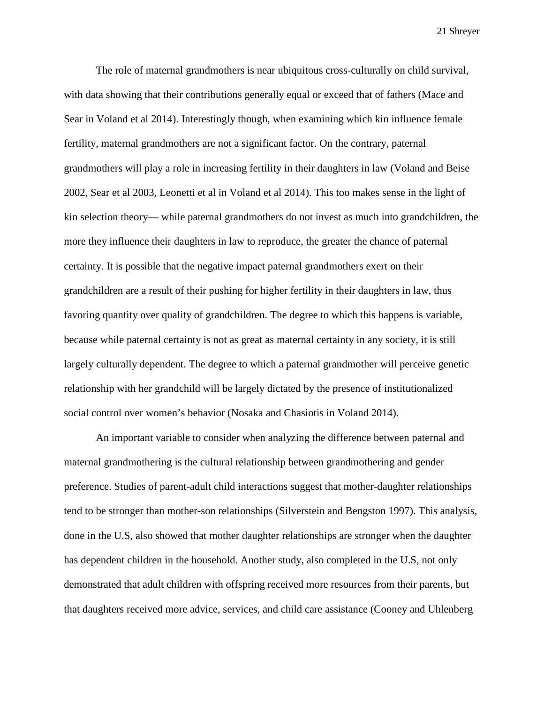The role of maternal grandmothers is near ubiquitous cross-culturally on child survival, with data showing that their contributions generally equal or exceed that of fathers (Mace and Sear in Voland et al 2014). Interestingly though, when examining which kin influence female fertility, maternal grandmothers are not a significant factor. On the contrary, paternal grandmothers will play a role in increasing fertility in their daughters in law (Voland and Beise 2002, Sear et al 2003, Leonetti et al in Voland et al 2014). This too makes sense in the light of kin selection theory— while paternal grandmothers do not invest as much into grandchildren, the more they influence their daughters in law to reproduce, the greater the chance of paternal certainty. It is possible that the negative impact paternal grandmothers exert on their grandchildren are a result of their pushing for higher fertility in their daughters in law, thus favoring quantity over quality of grandchildren. The degree to which this happens is variable, because while paternal certainty is not as great as maternal certainty in any society, it is still largely culturally dependent. The degree to which a paternal grandmother will perceive genetic relationship with her grandchild will be largely dictated by the presence of institutionalized social control over women's behavior (Nosaka and Chasiotis in Voland 2014).

An important variable to consider when analyzing the difference between paternal and maternal grandmothering is the cultural relationship between grandmothering and gender preference. Studies of parent-adult child interactions suggest that mother-daughter relationships tend to be stronger than mother-son relationships (Silverstein and Bengston 1997). This analysis, done in the U.S, also showed that mother daughter relationships are stronger when the daughter has dependent children in the household. Another study, also completed in the U.S, not only demonstrated that adult children with offspring received more resources from their parents, but that daughters received more advice, services, and child care assistance (Cooney and Uhlenberg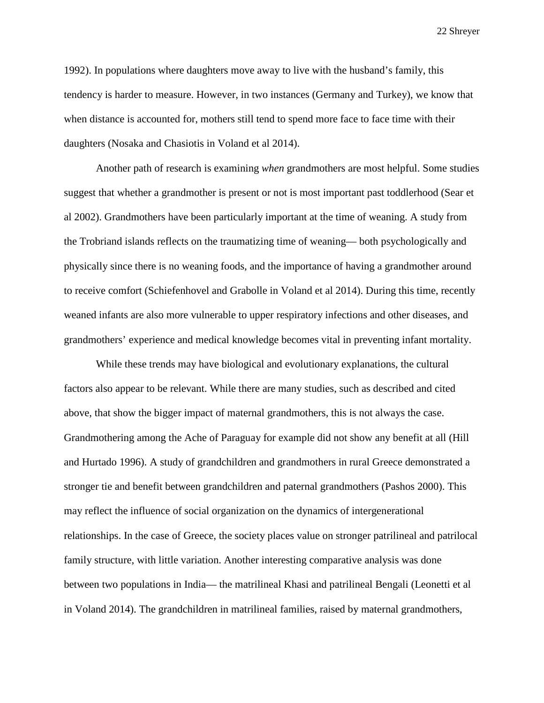1992). In populations where daughters move away to live with the husband's family, this tendency is harder to measure. However, in two instances (Germany and Turkey), we know that when distance is accounted for, mothers still tend to spend more face to face time with their daughters (Nosaka and Chasiotis in Voland et al 2014).

Another path of research is examining *when* grandmothers are most helpful. Some studies suggest that whether a grandmother is present or not is most important past toddlerhood (Sear et al 2002). Grandmothers have been particularly important at the time of weaning. A study from the Trobriand islands reflects on the traumatizing time of weaning— both psychologically and physically since there is no weaning foods, and the importance of having a grandmother around to receive comfort (Schiefenhovel and Grabolle in Voland et al 2014). During this time, recently weaned infants are also more vulnerable to upper respiratory infections and other diseases, and grandmothers' experience and medical knowledge becomes vital in preventing infant mortality.

While these trends may have biological and evolutionary explanations, the cultural factors also appear to be relevant. While there are many studies, such as described and cited above, that show the bigger impact of maternal grandmothers, this is not always the case. Grandmothering among the Ache of Paraguay for example did not show any benefit at all (Hill and Hurtado 1996). A study of grandchildren and grandmothers in rural Greece demonstrated a stronger tie and benefit between grandchildren and paternal grandmothers (Pashos 2000). This may reflect the influence of social organization on the dynamics of intergenerational relationships. In the case of Greece, the society places value on stronger patrilineal and patrilocal family structure, with little variation. Another interesting comparative analysis was done between two populations in India— the matrilineal Khasi and patrilineal Bengali (Leonetti et al in Voland 2014). The grandchildren in matrilineal families, raised by maternal grandmothers,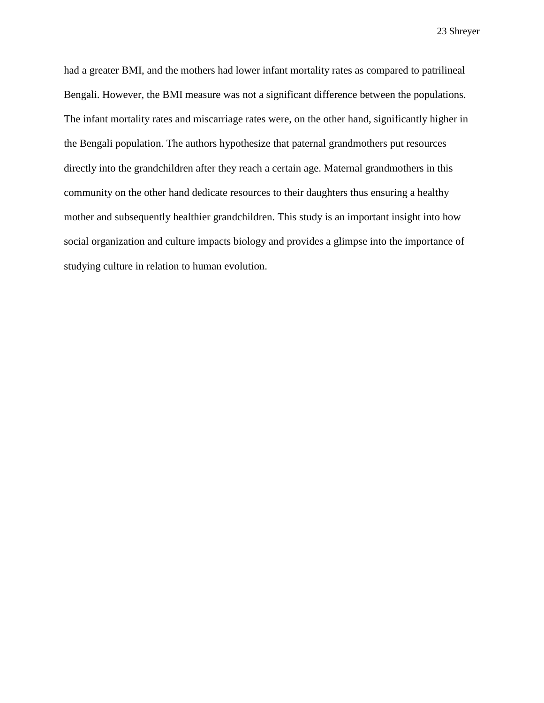had a greater BMI, and the mothers had lower infant mortality rates as compared to patrilineal Bengali. However, the BMI measure was not a significant difference between the populations. The infant mortality rates and miscarriage rates were, on the other hand, significantly higher in the Bengali population. The authors hypothesize that paternal grandmothers put resources directly into the grandchildren after they reach a certain age. Maternal grandmothers in this community on the other hand dedicate resources to their daughters thus ensuring a healthy mother and subsequently healthier grandchildren. This study is an important insight into how social organization and culture impacts biology and provides a glimpse into the importance of studying culture in relation to human evolution.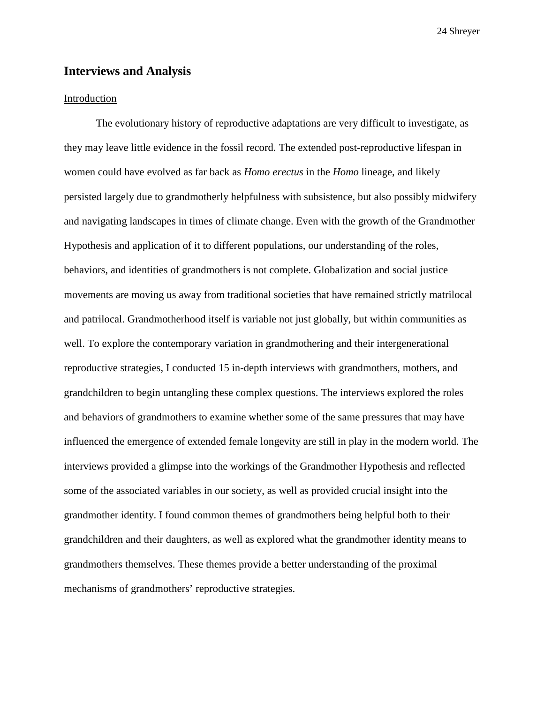#### **Interviews and Analysis**

#### Introduction

The evolutionary history of reproductive adaptations are very difficult to investigate, as they may leave little evidence in the fossil record. The extended post-reproductive lifespan in women could have evolved as far back as *Homo erectus* in the *Homo* lineage, and likely persisted largely due to grandmotherly helpfulness with subsistence, but also possibly midwifery and navigating landscapes in times of climate change. Even with the growth of the Grandmother Hypothesis and application of it to different populations, our understanding of the roles, behaviors, and identities of grandmothers is not complete. Globalization and social justice movements are moving us away from traditional societies that have remained strictly matrilocal and patrilocal. Grandmotherhood itself is variable not just globally, but within communities as well. To explore the contemporary variation in grandmothering and their intergenerational reproductive strategies, I conducted 15 in-depth interviews with grandmothers, mothers, and grandchildren to begin untangling these complex questions. The interviews explored the roles and behaviors of grandmothers to examine whether some of the same pressures that may have influenced the emergence of extended female longevity are still in play in the modern world. The interviews provided a glimpse into the workings of the Grandmother Hypothesis and reflected some of the associated variables in our society, as well as provided crucial insight into the grandmother identity. I found common themes of grandmothers being helpful both to their grandchildren and their daughters, as well as explored what the grandmother identity means to grandmothers themselves. These themes provide a better understanding of the proximal mechanisms of grandmothers' reproductive strategies.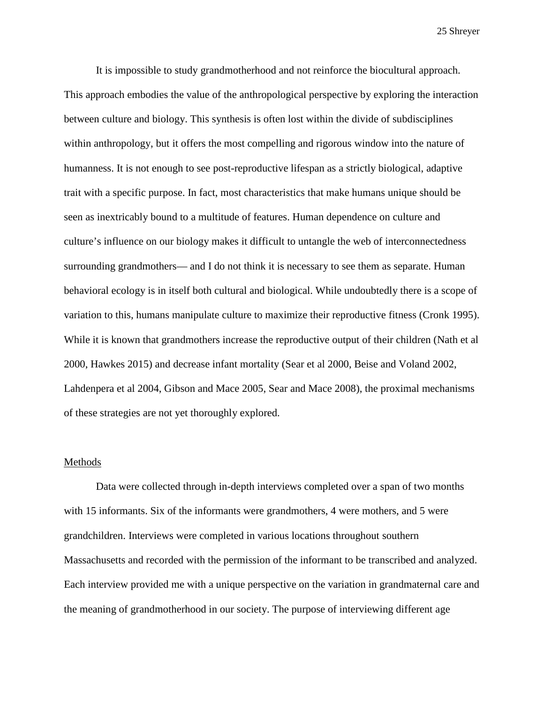It is impossible to study grandmotherhood and not reinforce the biocultural approach. This approach embodies the value of the anthropological perspective by exploring the interaction between culture and biology. This synthesis is often lost within the divide of subdisciplines within anthropology, but it offers the most compelling and rigorous window into the nature of humanness. It is not enough to see post-reproductive lifespan as a strictly biological, adaptive trait with a specific purpose. In fact, most characteristics that make humans unique should be seen as inextricably bound to a multitude of features. Human dependence on culture and culture's influence on our biology makes it difficult to untangle the web of interconnectedness surrounding grandmothers— and I do not think it is necessary to see them as separate. Human behavioral ecology is in itself both cultural and biological. While undoubtedly there is a scope of variation to this, humans manipulate culture to maximize their reproductive fitness (Cronk 1995). While it is known that grandmothers increase the reproductive output of their children (Nath et al 2000, Hawkes 2015) and decrease infant mortality (Sear et al 2000, Beise and Voland 2002, Lahdenpera et al 2004, Gibson and Mace 2005, Sear and Mace 2008), the proximal mechanisms of these strategies are not yet thoroughly explored.

#### Methods

Data were collected through in-depth interviews completed over a span of two months with 15 informants. Six of the informants were grandmothers, 4 were mothers, and 5 were grandchildren. Interviews were completed in various locations throughout southern Massachusetts and recorded with the permission of the informant to be transcribed and analyzed. Each interview provided me with a unique perspective on the variation in grandmaternal care and the meaning of grandmotherhood in our society. The purpose of interviewing different age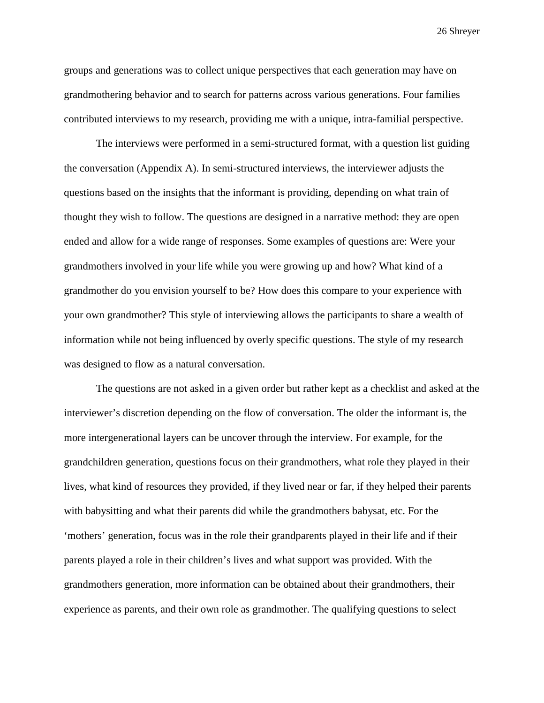groups and generations was to collect unique perspectives that each generation may have on grandmothering behavior and to search for patterns across various generations. Four families contributed interviews to my research, providing me with a unique, intra-familial perspective.

The interviews were performed in a semi-structured format, with a question list guiding the conversation (Appendix A). In semi-structured interviews, the interviewer adjusts the questions based on the insights that the informant is providing, depending on what train of thought they wish to follow. The questions are designed in a narrative method: they are open ended and allow for a wide range of responses. Some examples of questions are: Were your grandmothers involved in your life while you were growing up and how? What kind of a grandmother do you envision yourself to be? How does this compare to your experience with your own grandmother? This style of interviewing allows the participants to share a wealth of information while not being influenced by overly specific questions. The style of my research was designed to flow as a natural conversation.

The questions are not asked in a given order but rather kept as a checklist and asked at the interviewer's discretion depending on the flow of conversation. The older the informant is, the more intergenerational layers can be uncover through the interview. For example, for the grandchildren generation, questions focus on their grandmothers, what role they played in their lives, what kind of resources they provided, if they lived near or far, if they helped their parents with babysitting and what their parents did while the grandmothers babysat, etc. For the 'mothers' generation, focus was in the role their grandparents played in their life and if their parents played a role in their children's lives and what support was provided. With the grandmothers generation, more information can be obtained about their grandmothers, their experience as parents, and their own role as grandmother. The qualifying questions to select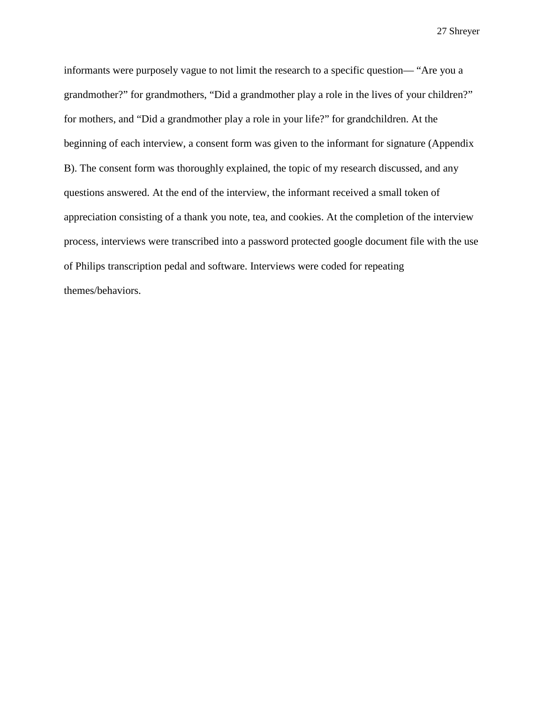informants were purposely vague to not limit the research to a specific question— "Are you a grandmother?" for grandmothers, "Did a grandmother play a role in the lives of your children?" for mothers, and "Did a grandmother play a role in your life?" for grandchildren. At the beginning of each interview, a consent form was given to the informant for signature (Appendix B). The consent form was thoroughly explained, the topic of my research discussed, and any questions answered. At the end of the interview, the informant received a small token of appreciation consisting of a thank you note, tea, and cookies. At the completion of the interview process, interviews were transcribed into a password protected google document file with the use of Philips transcription pedal and software. Interviews were coded for repeating themes/behaviors.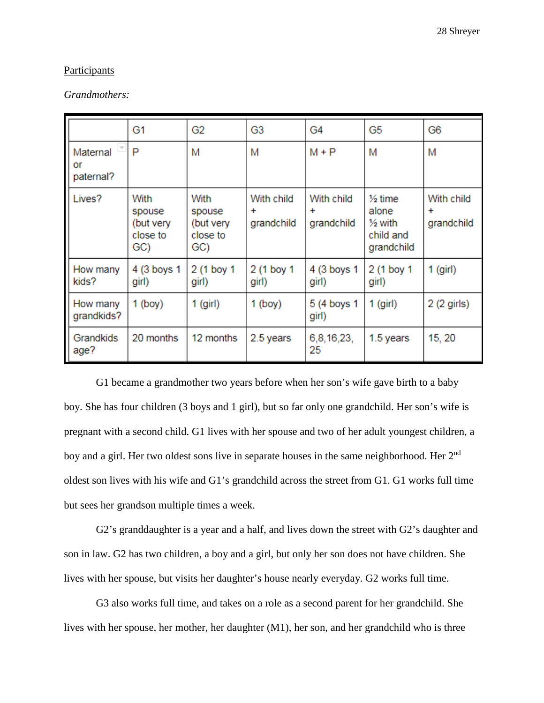#### **Participants**

#### *Grandmothers:*

|                             | G <sub>1</sub>                                 | G <sub>2</sub>                                 | G3                                    | G4                                    | G <sub>5</sub>                                                               | G6                                    |
|-----------------------------|------------------------------------------------|------------------------------------------------|---------------------------------------|---------------------------------------|------------------------------------------------------------------------------|---------------------------------------|
| Maternal<br>or<br>paternal? | P                                              | M                                              | M                                     | $M + P$                               | М                                                                            | M                                     |
| Lives?                      | With<br>spouse<br>(but very<br>close to<br>GC) | With<br>spouse<br>(but very<br>close to<br>GC) | With child<br>$\ddot{}$<br>grandchild | With child<br>$\ddot{}$<br>grandchild | $\frac{1}{2}$ time<br>alone<br>$\frac{1}{2}$ with<br>child and<br>grandchild | With child<br>$\ddot{}$<br>grandchild |
| How many<br>kids?           | 4 (3 boys 1<br>girl)                           | 2 (1 boy 1<br>girl)                            | 2 (1 boy 1<br>girl)                   | 4 (3 boys 1<br>girl)                  | 2 (1 boy 1<br>girl)                                                          | $1$ (girl)                            |
| How many<br>grandkids?      | $1$ (boy)                                      | $1$ (girl)                                     | $1$ (boy)                             | 5 (4 boys 1<br>girl)                  | $1$ (girl)                                                                   | 2 (2 girls)                           |
| Grandkids<br>age?           | 20 months                                      | 12 months                                      | 2.5 years                             | 6,8,16,23,<br>25                      | 1.5 years                                                                    | 15, 20                                |

G1 became a grandmother two years before when her son's wife gave birth to a baby boy. She has four children (3 boys and 1 girl), but so far only one grandchild. Her son's wife is pregnant with a second child. G1 lives with her spouse and two of her adult youngest children, a boy and a girl. Her two oldest sons live in separate houses in the same neighborhood. Her 2<sup>nd</sup> oldest son lives with his wife and G1's grandchild across the street from G1. G1 works full time but sees her grandson multiple times a week.

G2's granddaughter is a year and a half, and lives down the street with G2's daughter and son in law. G2 has two children, a boy and a girl, but only her son does not have children. She lives with her spouse, but visits her daughter's house nearly everyday. G2 works full time.

G3 also works full time, and takes on a role as a second parent for her grandchild. She lives with her spouse, her mother, her daughter (M1), her son, and her grandchild who is three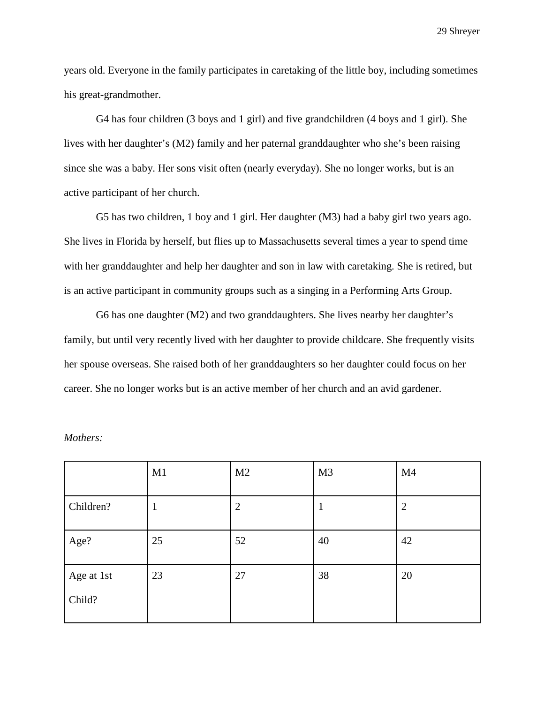years old. Everyone in the family participates in caretaking of the little boy, including sometimes his great-grandmother.

G4 has four children (3 boys and 1 girl) and five grandchildren (4 boys and 1 girl). She lives with her daughter's (M2) family and her paternal granddaughter who she's been raising since she was a baby. Her sons visit often (nearly everyday). She no longer works, but is an active participant of her church.

G5 has two children, 1 boy and 1 girl. Her daughter (M3) had a baby girl two years ago. She lives in Florida by herself, but flies up to Massachusetts several times a year to spend time with her granddaughter and help her daughter and son in law with caretaking. She is retired, but is an active participant in community groups such as a singing in a Performing Arts Group.

G6 has one daughter (M2) and two granddaughters. She lives nearby her daughter's family, but until very recently lived with her daughter to provide childcare. She frequently visits her spouse overseas. She raised both of her granddaughters so her daughter could focus on her career. She no longer works but is an active member of her church and an avid gardener.

|                      | M1 | M <sub>2</sub> | M <sub>3</sub> | M <sub>4</sub> |
|----------------------|----|----------------|----------------|----------------|
| Children?            |    | $\overline{2}$ |                | $\overline{2}$ |
| Age?                 | 25 | 52             | 40             | 42             |
| Age at 1st<br>Child? | 23 | 27             | 38             | 20             |

*Mothers:*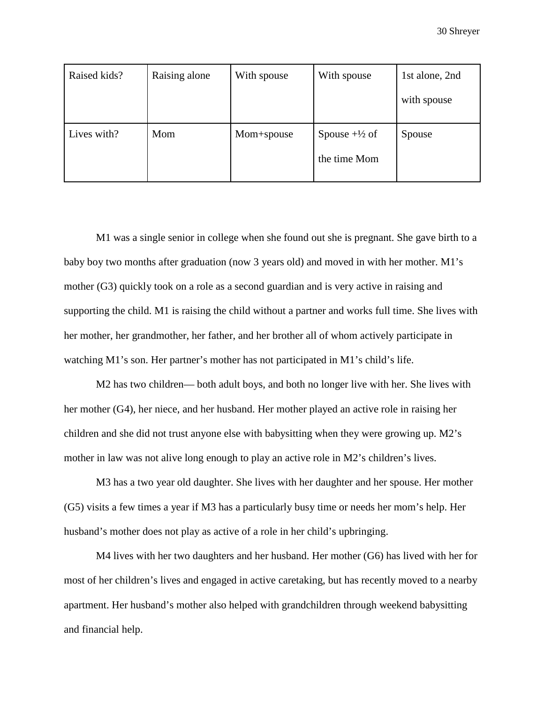| Raised kids? | Raising alone | With spouse | With spouse                              | 1st alone, 2nd |
|--------------|---------------|-------------|------------------------------------------|----------------|
|              |               |             |                                          | with spouse    |
| Lives with?  | Mom           | Mom+spouse  | Spouse $+\frac{1}{2}$ of<br>the time Mom | Spouse         |

M1 was a single senior in college when she found out she is pregnant. She gave birth to a baby boy two months after graduation (now 3 years old) and moved in with her mother. M1's mother (G3) quickly took on a role as a second guardian and is very active in raising and supporting the child. M1 is raising the child without a partner and works full time. She lives with her mother, her grandmother, her father, and her brother all of whom actively participate in watching M1's son. Her partner's mother has not participated in M1's child's life.

M2 has two children— both adult boys, and both no longer live with her. She lives with her mother (G4), her niece, and her husband. Her mother played an active role in raising her children and she did not trust anyone else with babysitting when they were growing up. M2's mother in law was not alive long enough to play an active role in M2's children's lives.

M3 has a two year old daughter. She lives with her daughter and her spouse. Her mother (G5) visits a few times a year if M3 has a particularly busy time or needs her mom's help. Her husband's mother does not play as active of a role in her child's upbringing.

M4 lives with her two daughters and her husband. Her mother (G6) has lived with her for most of her children's lives and engaged in active caretaking, but has recently moved to a nearby apartment. Her husband's mother also helped with grandchildren through weekend babysitting and financial help.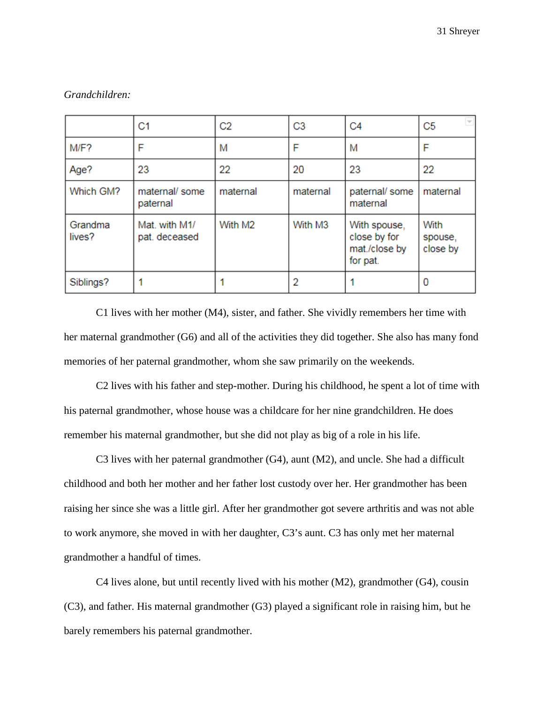|                   | C <sub>1</sub>                 | C <sub>2</sub> | C <sub>3</sub> | C <sub>4</sub>                                            | C <sub>5</sub>              |
|-------------------|--------------------------------|----------------|----------------|-----------------------------------------------------------|-----------------------------|
| M/F?              | F                              | М              | F              | M                                                         | F                           |
| Age?              | 23                             | 22             | 20             | 23                                                        | 22                          |
| Which GM?         | maternal/ some<br>paternal     | maternal       | maternal       | paternal/ some<br>maternal                                | maternal                    |
| Grandma<br>lives? | Mat. with M1/<br>pat. deceased | With M2        | With M3        | With spouse,<br>close by for<br>mat./close by<br>for pat. | With<br>spouse,<br>close by |
| Siblings?         |                                |                | 2              |                                                           | n                           |

#### *Grandchildren:*

C1 lives with her mother (M4), sister, and father. She vividly remembers her time with her maternal grandmother (G6) and all of the activities they did together. She also has many fond memories of her paternal grandmother, whom she saw primarily on the weekends.

C2 lives with his father and step-mother. During his childhood, he spent a lot of time with his paternal grandmother, whose house was a childcare for her nine grandchildren. He does remember his maternal grandmother, but she did not play as big of a role in his life.

C3 lives with her paternal grandmother (G4), aunt (M2), and uncle. She had a difficult childhood and both her mother and her father lost custody over her. Her grandmother has been raising her since she was a little girl. After her grandmother got severe arthritis and was not able to work anymore, she moved in with her daughter, C3's aunt. C3 has only met her maternal grandmother a handful of times.

C4 lives alone, but until recently lived with his mother (M2), grandmother (G4), cousin (C3), and father. His maternal grandmother (G3) played a significant role in raising him, but he barely remembers his paternal grandmother.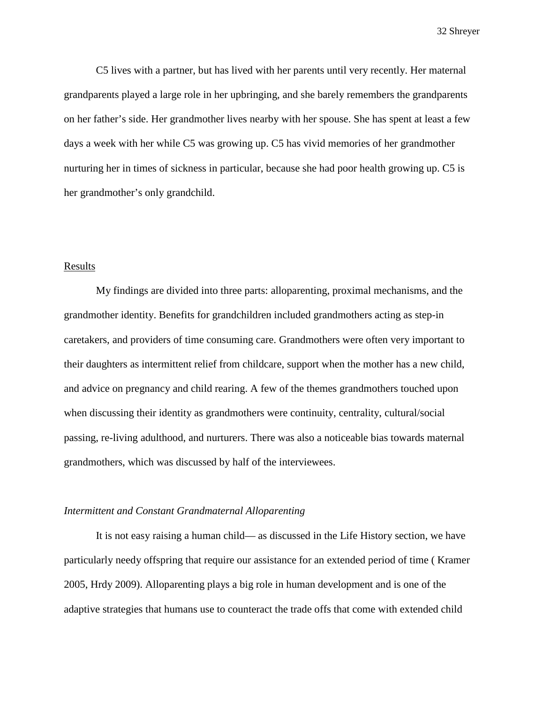C5 lives with a partner, but has lived with her parents until very recently. Her maternal grandparents played a large role in her upbringing, and she barely remembers the grandparents on her father's side. Her grandmother lives nearby with her spouse. She has spent at least a few days a week with her while C5 was growing up. C5 has vivid memories of her grandmother nurturing her in times of sickness in particular, because she had poor health growing up. C5 is her grandmother's only grandchild.

#### **Results**

My findings are divided into three parts: alloparenting, proximal mechanisms, and the grandmother identity. Benefits for grandchildren included grandmothers acting as step-in caretakers, and providers of time consuming care. Grandmothers were often very important to their daughters as intermittent relief from childcare, support when the mother has a new child, and advice on pregnancy and child rearing. A few of the themes grandmothers touched upon when discussing their identity as grandmothers were continuity, centrality, cultural/social passing, re-living adulthood, and nurturers. There was also a noticeable bias towards maternal grandmothers, which was discussed by half of the interviewees.

#### *Intermittent and Constant Grandmaternal Alloparenting*

It is not easy raising a human child— as discussed in the Life History section, we have particularly needy offspring that require our assistance for an extended period of time ( Kramer 2005, Hrdy 2009). Alloparenting plays a big role in human development and is one of the adaptive strategies that humans use to counteract the trade offs that come with extended child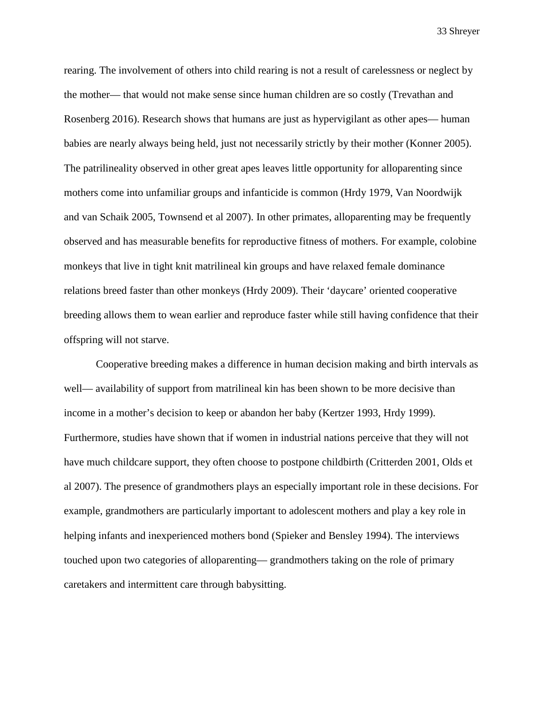rearing. The involvement of others into child rearing is not a result of carelessness or neglect by the mother— that would not make sense since human children are so costly (Trevathan and Rosenberg 2016). Research shows that humans are just as hypervigilant as other apes— human babies are nearly always being held, just not necessarily strictly by their mother (Konner 2005). The patrilineality observed in other great apes leaves little opportunity for alloparenting since mothers come into unfamiliar groups and infanticide is common (Hrdy 1979, Van Noordwijk and van Schaik 2005, Townsend et al 2007). In other primates, alloparenting may be frequently observed and has measurable benefits for reproductive fitness of mothers. For example, colobine monkeys that live in tight knit matrilineal kin groups and have relaxed female dominance relations breed faster than other monkeys (Hrdy 2009). Their 'daycare' oriented cooperative breeding allows them to wean earlier and reproduce faster while still having confidence that their offspring will not starve.

Cooperative breeding makes a difference in human decision making and birth intervals as well— availability of support from matrilineal kin has been shown to be more decisive than income in a mother's decision to keep or abandon her baby (Kertzer 1993, Hrdy 1999). Furthermore, studies have shown that if women in industrial nations perceive that they will not have much childcare support, they often choose to postpone childbirth (Critterden 2001, Olds et al 2007). The presence of grandmothers plays an especially important role in these decisions. For example, grandmothers are particularly important to adolescent mothers and play a key role in helping infants and inexperienced mothers bond (Spieker and Bensley 1994). The interviews touched upon two categories of alloparenting— grandmothers taking on the role of primary caretakers and intermittent care through babysitting.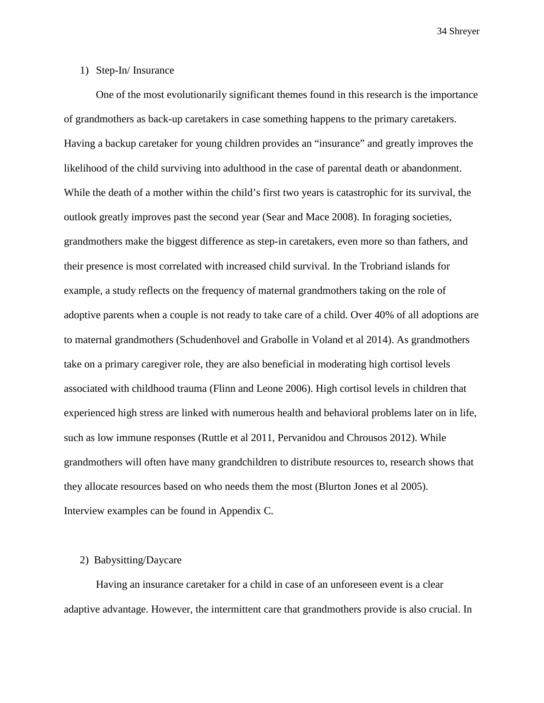#### 1) Step-In/ Insurance

One of the most evolutionarily significant themes found in this research is the importance of grandmothers as back-up caretakers in case something happens to the primary caretakers. Having a backup caretaker for young children provides an "insurance" and greatly improves the likelihood of the child surviving into adulthood in the case of parental death or abandonment. While the death of a mother within the child's first two years is catastrophic for its survival, the outlook greatly improves past the second year (Sear and Mace 2008). In foraging societies, grandmothers make the biggest difference as step-in caretakers, even more so than fathers, and their presence is most correlated with increased child survival. In the Trobriand islands for example, a study reflects on the frequency of maternal grandmothers taking on the role of adoptive parents when a couple is not ready to take care of a child. Over 40% of all adoptions are to maternal grandmothers (Schudenhovel and Grabolle in Voland et al 2014). As grandmothers take on a primary caregiver role, they are also beneficial in moderating high cortisol levels associated with childhood trauma (Flinn and Leone 2006). High cortisol levels in children that experienced high stress are linked with numerous health and behavioral problems later on in life, such as low immune responses (Ruttle et al 2011, Pervanidou and Chrousos 2012). While grandmothers will often have many grandchildren to distribute resources to, research shows that they allocate resources based on who needs them the most (Blurton Jones et al 2005). Interview examples can be found in Appendix C.

#### 2) Babysitting/Daycare

Having an insurance caretaker for a child in case of an unforeseen event is a clear adaptive advantage. However, the intermittent care that grandmothers provide is also crucial. In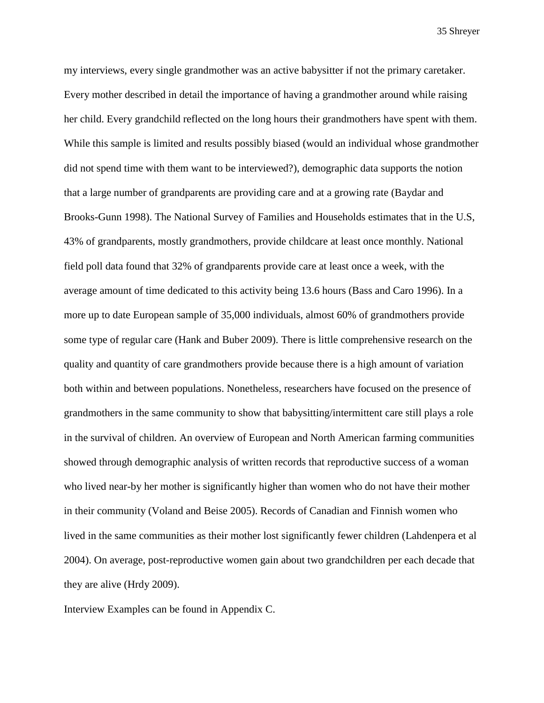my interviews, every single grandmother was an active babysitter if not the primary caretaker. Every mother described in detail the importance of having a grandmother around while raising her child. Every grandchild reflected on the long hours their grandmothers have spent with them. While this sample is limited and results possibly biased (would an individual whose grandmother did not spend time with them want to be interviewed?), demographic data supports the notion that a large number of grandparents are providing care and at a growing rate (Baydar and Brooks-Gunn 1998). The National Survey of Families and Households estimates that in the U.S, 43% of grandparents, mostly grandmothers, provide childcare at least once monthly. National field poll data found that 32% of grandparents provide care at least once a week, with the average amount of time dedicated to this activity being 13.6 hours (Bass and Caro 1996). In a more up to date European sample of 35,000 individuals, almost 60% of grandmothers provide some type of regular care (Hank and Buber 2009). There is little comprehensive research on the quality and quantity of care grandmothers provide because there is a high amount of variation both within and between populations. Nonetheless, researchers have focused on the presence of grandmothers in the same community to show that babysitting/intermittent care still plays a role in the survival of children. An overview of European and North American farming communities showed through demographic analysis of written records that reproductive success of a woman who lived near-by her mother is significantly higher than women who do not have their mother in their community (Voland and Beise 2005). Records of Canadian and Finnish women who lived in the same communities as their mother lost significantly fewer children (Lahdenpera et al 2004). On average, post-reproductive women gain about two grandchildren per each decade that they are alive (Hrdy 2009).

Interview Examples can be found in Appendix C.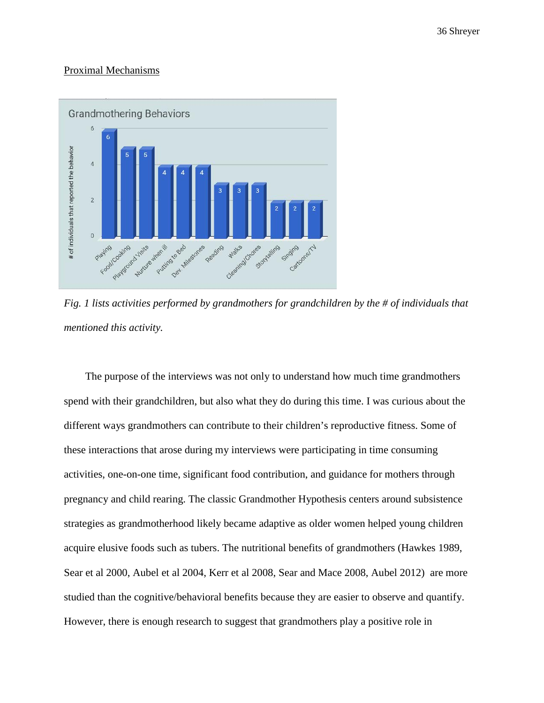#### Proximal Mechanisms



*Fig. 1 lists activities performed by grandmothers for grandchildren by the # of individuals that mentioned this activity.* 

 The purpose of the interviews was not only to understand how much time grandmothers spend with their grandchildren, but also what they do during this time. I was curious about the different ways grandmothers can contribute to their children's reproductive fitness. Some of these interactions that arose during my interviews were participating in time consuming activities, one-on-one time, significant food contribution, and guidance for mothers through pregnancy and child rearing. The classic Grandmother Hypothesis centers around subsistence strategies as grandmotherhood likely became adaptive as older women helped young children acquire elusive foods such as tubers. The nutritional benefits of grandmothers (Hawkes 1989, Sear et al 2000, Aubel et al 2004, Kerr et al 2008, Sear and Mace 2008, Aubel 2012) are more studied than the cognitive/behavioral benefits because they are easier to observe and quantify. However, there is enough research to suggest that grandmothers play a positive role in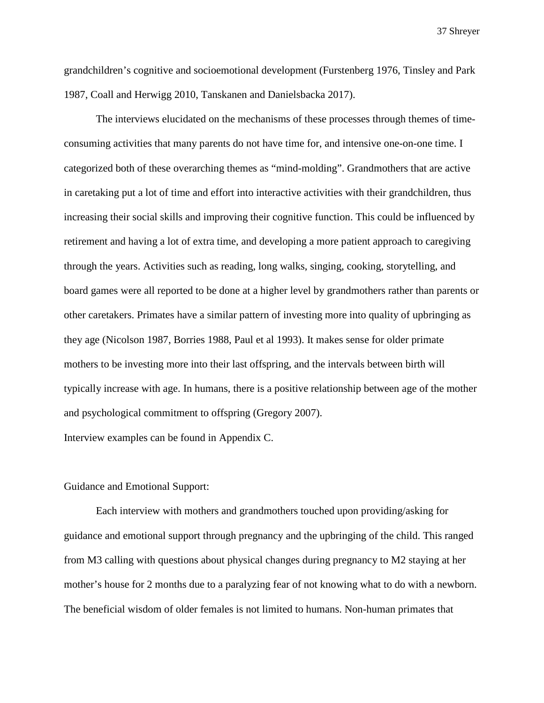grandchildren's cognitive and socioemotional development (Furstenberg 1976, Tinsley and Park 1987, Coall and Herwigg 2010, Tanskanen and Danielsbacka 2017).

The interviews elucidated on the mechanisms of these processes through themes of timeconsuming activities that many parents do not have time for, and intensive one-on-one time. I categorized both of these overarching themes as "mind-molding". Grandmothers that are active in caretaking put a lot of time and effort into interactive activities with their grandchildren, thus increasing their social skills and improving their cognitive function. This could be influenced by retirement and having a lot of extra time, and developing a more patient approach to caregiving through the years. Activities such as reading, long walks, singing, cooking, storytelling, and board games were all reported to be done at a higher level by grandmothers rather than parents or other caretakers. Primates have a similar pattern of investing more into quality of upbringing as they age (Nicolson 1987, Borries 1988, Paul et al 1993). It makes sense for older primate mothers to be investing more into their last offspring, and the intervals between birth will typically increase with age. In humans, there is a positive relationship between age of the mother and psychological commitment to offspring (Gregory 2007).

Interview examples can be found in Appendix C.

#### Guidance and Emotional Support:

Each interview with mothers and grandmothers touched upon providing/asking for guidance and emotional support through pregnancy and the upbringing of the child. This ranged from M3 calling with questions about physical changes during pregnancy to M2 staying at her mother's house for 2 months due to a paralyzing fear of not knowing what to do with a newborn. The beneficial wisdom of older females is not limited to humans. Non-human primates that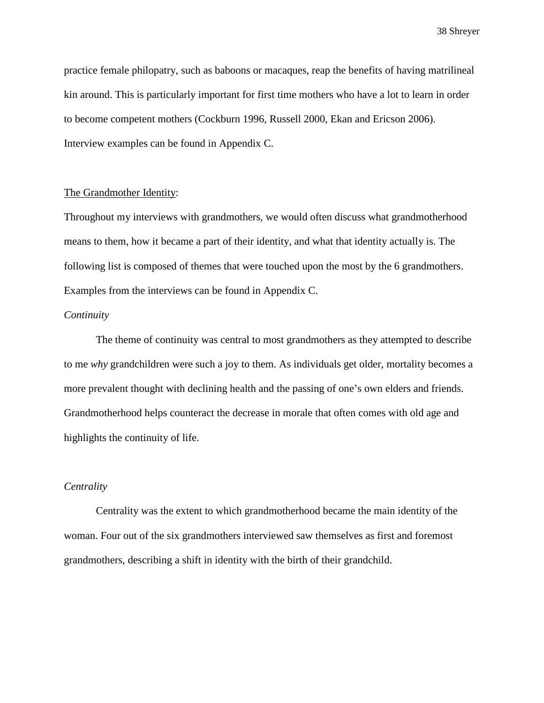practice female philopatry, such as baboons or macaques, reap the benefits of having matrilineal kin around. This is particularly important for first time mothers who have a lot to learn in order to become competent mothers (Cockburn 1996, Russell 2000, Ekan and Ericson 2006). Interview examples can be found in Appendix C.

#### The Grandmother Identity:

Throughout my interviews with grandmothers, we would often discuss what grandmotherhood means to them, how it became a part of their identity, and what that identity actually is. The following list is composed of themes that were touched upon the most by the 6 grandmothers. Examples from the interviews can be found in Appendix C.

#### *Continuity*

 The theme of continuity was central to most grandmothers as they attempted to describe to me *why* grandchildren were such a joy to them. As individuals get older, mortality becomes a more prevalent thought with declining health and the passing of one's own elders and friends. Grandmotherhood helps counteract the decrease in morale that often comes with old age and highlights the continuity of life.

#### *Centrality*

 Centrality was the extent to which grandmotherhood became the main identity of the woman. Four out of the six grandmothers interviewed saw themselves as first and foremost grandmothers, describing a shift in identity with the birth of their grandchild.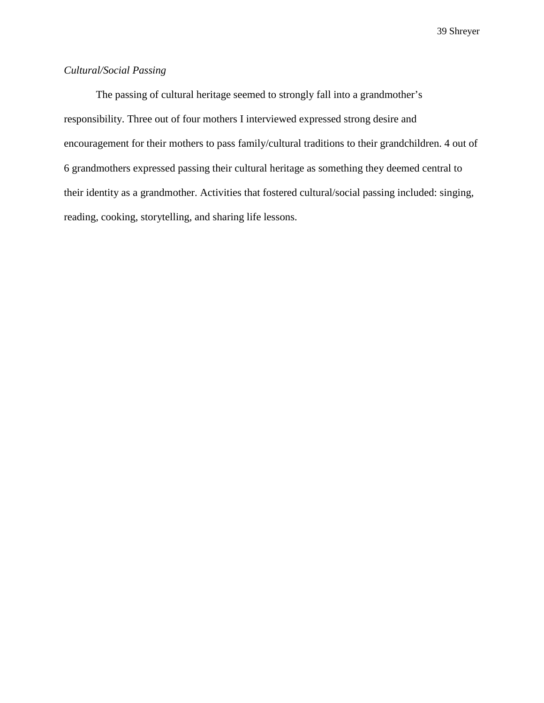#### *Cultural/Social Passing*

 The passing of cultural heritage seemed to strongly fall into a grandmother's responsibility. Three out of four mothers I interviewed expressed strong desire and encouragement for their mothers to pass family/cultural traditions to their grandchildren. 4 out of 6 grandmothers expressed passing their cultural heritage as something they deemed central to their identity as a grandmother. Activities that fostered cultural/social passing included: singing, reading, cooking, storytelling, and sharing life lessons.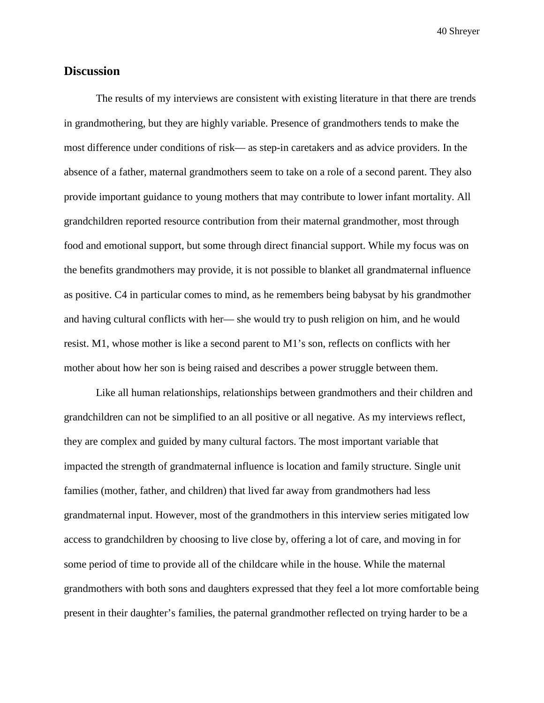#### **Discussion**

The results of my interviews are consistent with existing literature in that there are trends in grandmothering, but they are highly variable. Presence of grandmothers tends to make the most difference under conditions of risk— as step-in caretakers and as advice providers. In the absence of a father, maternal grandmothers seem to take on a role of a second parent. They also provide important guidance to young mothers that may contribute to lower infant mortality. All grandchildren reported resource contribution from their maternal grandmother, most through food and emotional support, but some through direct financial support. While my focus was on the benefits grandmothers may provide, it is not possible to blanket all grandmaternal influence as positive. C4 in particular comes to mind, as he remembers being babysat by his grandmother and having cultural conflicts with her— she would try to push religion on him, and he would resist. M1, whose mother is like a second parent to M1's son, reflects on conflicts with her mother about how her son is being raised and describes a power struggle between them.

Like all human relationships, relationships between grandmothers and their children and grandchildren can not be simplified to an all positive or all negative. As my interviews reflect, they are complex and guided by many cultural factors. The most important variable that impacted the strength of grandmaternal influence is location and family structure. Single unit families (mother, father, and children) that lived far away from grandmothers had less grandmaternal input. However, most of the grandmothers in this interview series mitigated low access to grandchildren by choosing to live close by, offering a lot of care, and moving in for some period of time to provide all of the childcare while in the house. While the maternal grandmothers with both sons and daughters expressed that they feel a lot more comfortable being present in their daughter's families, the paternal grandmother reflected on trying harder to be a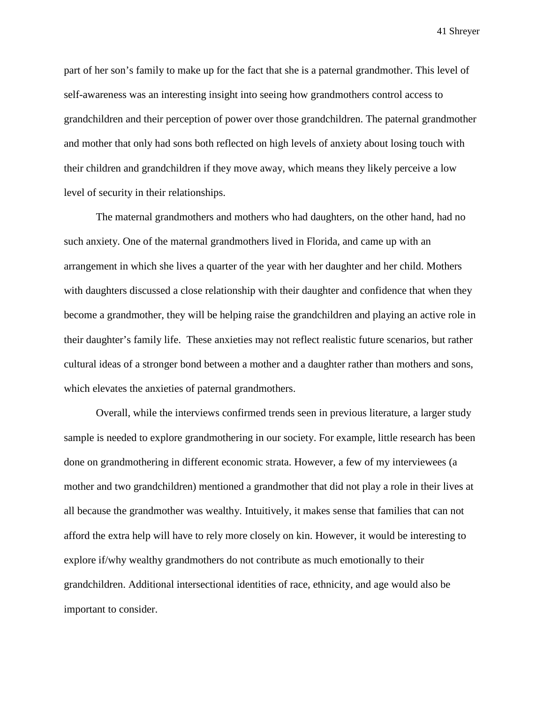part of her son's family to make up for the fact that she is a paternal grandmother. This level of self-awareness was an interesting insight into seeing how grandmothers control access to grandchildren and their perception of power over those grandchildren. The paternal grandmother and mother that only had sons both reflected on high levels of anxiety about losing touch with their children and grandchildren if they move away, which means they likely perceive a low level of security in their relationships.

The maternal grandmothers and mothers who had daughters, on the other hand, had no such anxiety. One of the maternal grandmothers lived in Florida, and came up with an arrangement in which she lives a quarter of the year with her daughter and her child. Mothers with daughters discussed a close relationship with their daughter and confidence that when they become a grandmother, they will be helping raise the grandchildren and playing an active role in their daughter's family life. These anxieties may not reflect realistic future scenarios, but rather cultural ideas of a stronger bond between a mother and a daughter rather than mothers and sons, which elevates the anxieties of paternal grandmothers.

Overall, while the interviews confirmed trends seen in previous literature, a larger study sample is needed to explore grandmothering in our society. For example, little research has been done on grandmothering in different economic strata. However, a few of my interviewees (a mother and two grandchildren) mentioned a grandmother that did not play a role in their lives at all because the grandmother was wealthy. Intuitively, it makes sense that families that can not afford the extra help will have to rely more closely on kin. However, it would be interesting to explore if/why wealthy grandmothers do not contribute as much emotionally to their grandchildren. Additional intersectional identities of race, ethnicity, and age would also be important to consider.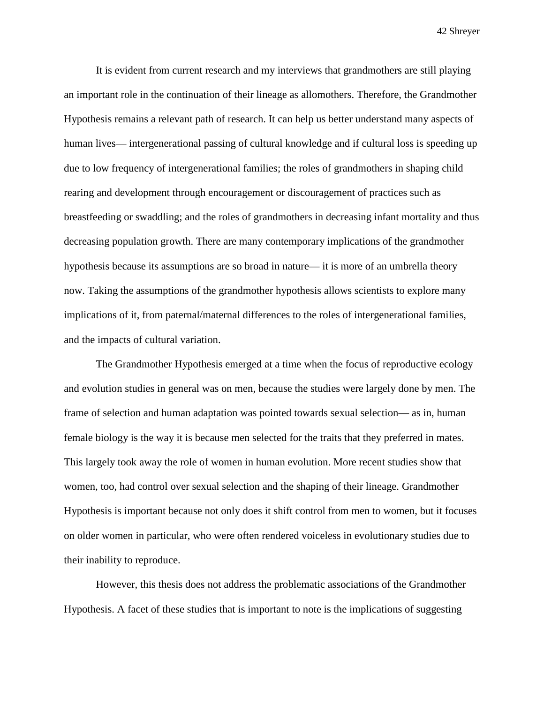It is evident from current research and my interviews that grandmothers are still playing an important role in the continuation of their lineage as allomothers. Therefore, the Grandmother Hypothesis remains a relevant path of research. It can help us better understand many aspects of human lives— intergenerational passing of cultural knowledge and if cultural loss is speeding up due to low frequency of intergenerational families; the roles of grandmothers in shaping child rearing and development through encouragement or discouragement of practices such as breastfeeding or swaddling; and the roles of grandmothers in decreasing infant mortality and thus decreasing population growth. There are many contemporary implications of the grandmother hypothesis because its assumptions are so broad in nature— it is more of an umbrella theory now. Taking the assumptions of the grandmother hypothesis allows scientists to explore many implications of it, from paternal/maternal differences to the roles of intergenerational families, and the impacts of cultural variation.

The Grandmother Hypothesis emerged at a time when the focus of reproductive ecology and evolution studies in general was on men, because the studies were largely done by men. The frame of selection and human adaptation was pointed towards sexual selection— as in, human female biology is the way it is because men selected for the traits that they preferred in mates. This largely took away the role of women in human evolution. More recent studies show that women, too, had control over sexual selection and the shaping of their lineage. Grandmother Hypothesis is important because not only does it shift control from men to women, but it focuses on older women in particular, who were often rendered voiceless in evolutionary studies due to their inability to reproduce.

However, this thesis does not address the problematic associations of the Grandmother Hypothesis. A facet of these studies that is important to note is the implications of suggesting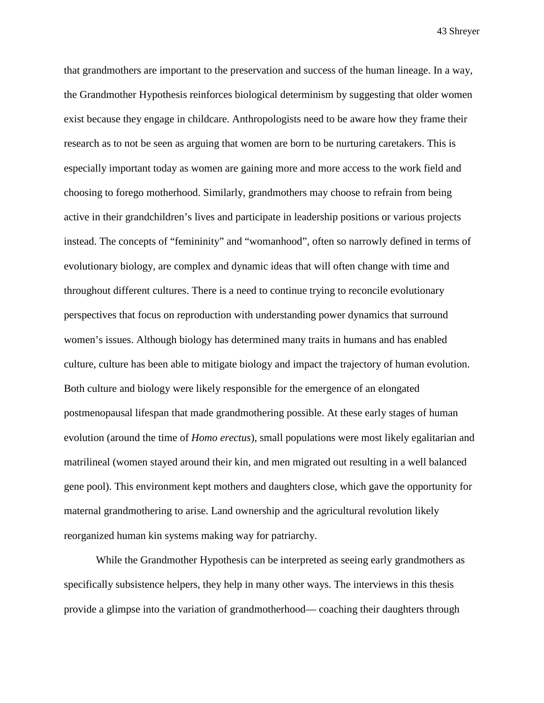that grandmothers are important to the preservation and success of the human lineage. In a way, the Grandmother Hypothesis reinforces biological determinism by suggesting that older women exist because they engage in childcare. Anthropologists need to be aware how they frame their research as to not be seen as arguing that women are born to be nurturing caretakers. This is especially important today as women are gaining more and more access to the work field and choosing to forego motherhood. Similarly, grandmothers may choose to refrain from being active in their grandchildren's lives and participate in leadership positions or various projects instead. The concepts of "femininity" and "womanhood", often so narrowly defined in terms of evolutionary biology, are complex and dynamic ideas that will often change with time and throughout different cultures. There is a need to continue trying to reconcile evolutionary perspectives that focus on reproduction with understanding power dynamics that surround women's issues. Although biology has determined many traits in humans and has enabled culture, culture has been able to mitigate biology and impact the trajectory of human evolution. Both culture and biology were likely responsible for the emergence of an elongated postmenopausal lifespan that made grandmothering possible. At these early stages of human evolution (around the time of *Homo erectus*), small populations were most likely egalitarian and matrilineal (women stayed around their kin, and men migrated out resulting in a well balanced gene pool). This environment kept mothers and daughters close, which gave the opportunity for maternal grandmothering to arise. Land ownership and the agricultural revolution likely reorganized human kin systems making way for patriarchy.

While the Grandmother Hypothesis can be interpreted as seeing early grandmothers as specifically subsistence helpers, they help in many other ways. The interviews in this thesis provide a glimpse into the variation of grandmotherhood— coaching their daughters through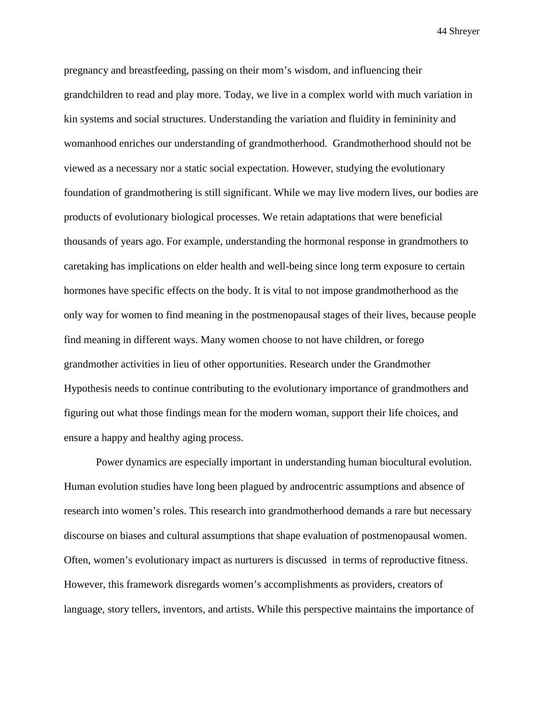pregnancy and breastfeeding, passing on their mom's wisdom, and influencing their grandchildren to read and play more. Today, we live in a complex world with much variation in kin systems and social structures. Understanding the variation and fluidity in femininity and womanhood enriches our understanding of grandmotherhood. Grandmotherhood should not be viewed as a necessary nor a static social expectation. However, studying the evolutionary foundation of grandmothering is still significant. While we may live modern lives, our bodies are products of evolutionary biological processes. We retain adaptations that were beneficial thousands of years ago. For example, understanding the hormonal response in grandmothers to caretaking has implications on elder health and well-being since long term exposure to certain hormones have specific effects on the body. It is vital to not impose grandmotherhood as the only way for women to find meaning in the postmenopausal stages of their lives, because people find meaning in different ways. Many women choose to not have children, or forego grandmother activities in lieu of other opportunities. Research under the Grandmother Hypothesis needs to continue contributing to the evolutionary importance of grandmothers and figuring out what those findings mean for the modern woman, support their life choices, and ensure a happy and healthy aging process.

Power dynamics are especially important in understanding human biocultural evolution. Human evolution studies have long been plagued by androcentric assumptions and absence of research into women's roles. This research into grandmotherhood demands a rare but necessary discourse on biases and cultural assumptions that shape evaluation of postmenopausal women. Often, women's evolutionary impact as nurturers is discussed in terms of reproductive fitness. However, this framework disregards women's accomplishments as providers, creators of language, story tellers, inventors, and artists. While this perspective maintains the importance of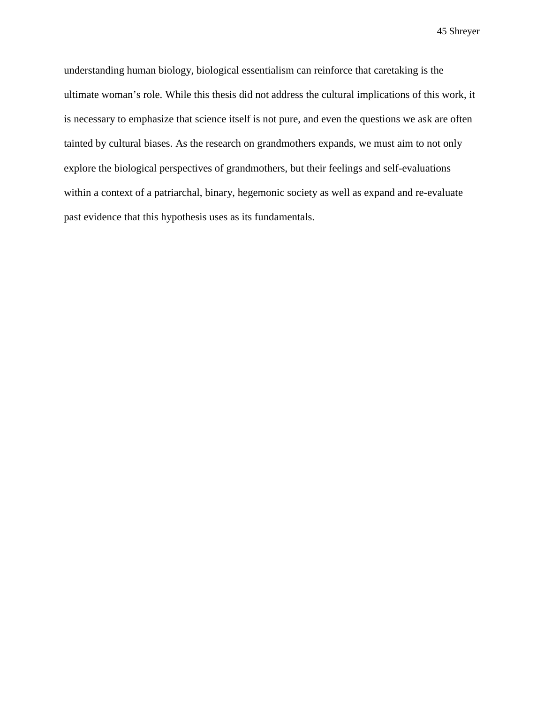understanding human biology, biological essentialism can reinforce that caretaking is the ultimate woman's role. While this thesis did not address the cultural implications of this work, it is necessary to emphasize that science itself is not pure, and even the questions we ask are often tainted by cultural biases. As the research on grandmothers expands, we must aim to not only explore the biological perspectives of grandmothers, but their feelings and self-evaluations within a context of a patriarchal, binary, hegemonic society as well as expand and re-evaluate past evidence that this hypothesis uses as its fundamentals.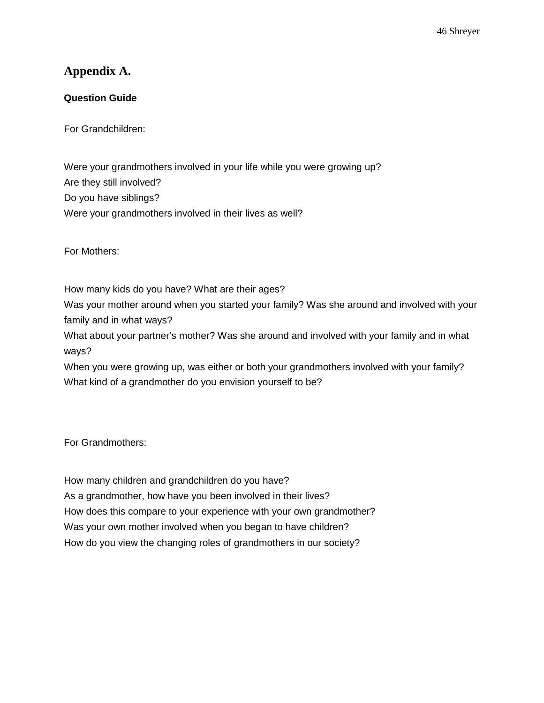### **Appendix A.**

#### **Question Guide**

For Grandchildren:

Were your grandmothers involved in your life while you were growing up? Are they still involved? Do you have siblings? Were your grandmothers involved in their lives as well?

For Mothers:

How many kids do you have? What are their ages?

Was your mother around when you started your family? Was she around and involved with your family and in what ways?

What about your partner's mother? Was she around and involved with your family and in what ways?

When you were growing up, was either or both your grandmothers involved with your family? What kind of a grandmother do you envision yourself to be?

For Grandmothers:

How many children and grandchildren do you have? As a grandmother, how have you been involved in their lives? How does this compare to your experience with your own grandmother? Was your own mother involved when you began to have children? How do you view the changing roles of grandmothers in our society?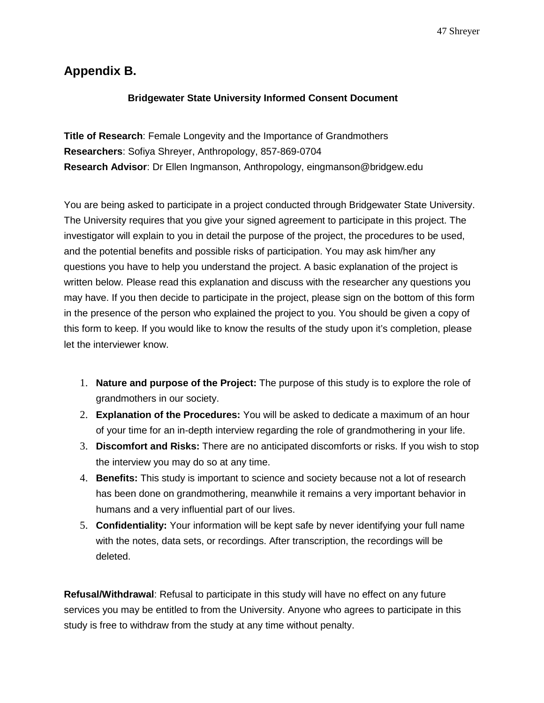## **Appendix B.**

#### **Bridgewater State University Informed Consent Document**

**Title of Research**: Female Longevity and the Importance of Grandmothers **Researchers**: Sofiya Shreyer, Anthropology, 857-869-0704 **Research Advisor**: Dr Ellen Ingmanson, Anthropology, eingmanson@bridgew.edu

You are being asked to participate in a project conducted through Bridgewater State University. The University requires that you give your signed agreement to participate in this project. The investigator will explain to you in detail the purpose of the project, the procedures to be used, and the potential benefits and possible risks of participation. You may ask him/her any questions you have to help you understand the project. A basic explanation of the project is written below. Please read this explanation and discuss with the researcher any questions you may have. If you then decide to participate in the project, please sign on the bottom of this form in the presence of the person who explained the project to you. You should be given a copy of this form to keep. If you would like to know the results of the study upon it's completion, please let the interviewer know.

- 1. **Nature and purpose of the Project:** The purpose of this study is to explore the role of grandmothers in our society.
- 2. **Explanation of the Procedures:** You will be asked to dedicate a maximum of an hour of your time for an in-depth interview regarding the role of grandmothering in your life.
- 3. **Discomfort and Risks:** There are no anticipated discomforts or risks. If you wish to stop the interview you may do so at any time.
- 4. **Benefits:** This study is important to science and society because not a lot of research has been done on grandmothering, meanwhile it remains a very important behavior in humans and a very influential part of our lives.
- 5. **Confidentiality:** Your information will be kept safe by never identifying your full name with the notes, data sets, or recordings. After transcription, the recordings will be deleted.

**Refusal/Withdrawal**: Refusal to participate in this study will have no effect on any future services you may be entitled to from the University. Anyone who agrees to participate in this study is free to withdraw from the study at any time without penalty.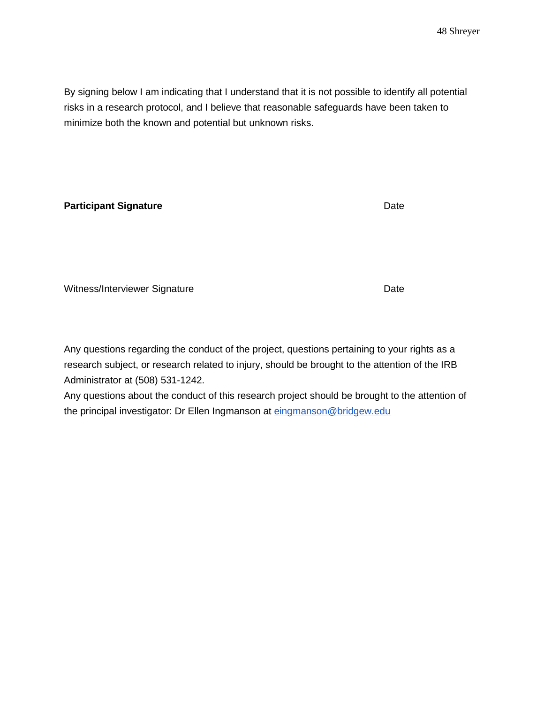By signing below I am indicating that I understand that it is not possible to identify all potential risks in a research protocol, and I believe that reasonable safeguards have been taken to minimize both the known and potential but unknown risks.

#### **Participant Signature** Date **Date**

Witness/Interviewer Signature **Date** Date

Any questions regarding the conduct of the project, questions pertaining to your rights as a research subject, or research related to injury, should be brought to the attention of the IRB Administrator at (508) 531-1242.

Any questions about the conduct of this research project should be brought to the attention of the principal investigator: Dr Ellen Ingmanson at eingmanson@bridgew.edu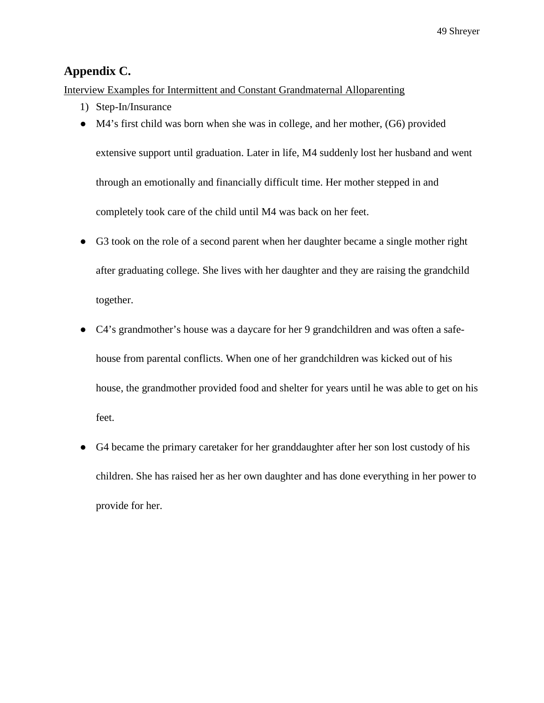### **Appendix C.**

Interview Examples for Intermittent and Constant Grandmaternal Alloparenting

- 1) Step-In/Insurance
- M4's first child was born when she was in college, and her mother, (G6) provided
	- extensive support until graduation. Later in life, M4 suddenly lost her husband and went through an emotionally and financially difficult time. Her mother stepped in and completely took care of the child until M4 was back on her feet.
- G3 took on the role of a second parent when her daughter became a single mother right after graduating college. She lives with her daughter and they are raising the grandchild together.
- C4's grandmother's house was a daycare for her 9 grandchildren and was often a safehouse from parental conflicts. When one of her grandchildren was kicked out of his house, the grandmother provided food and shelter for years until he was able to get on his feet.
- G4 became the primary caretaker for her granddaughter after her son lost custody of his children. She has raised her as her own daughter and has done everything in her power to provide for her.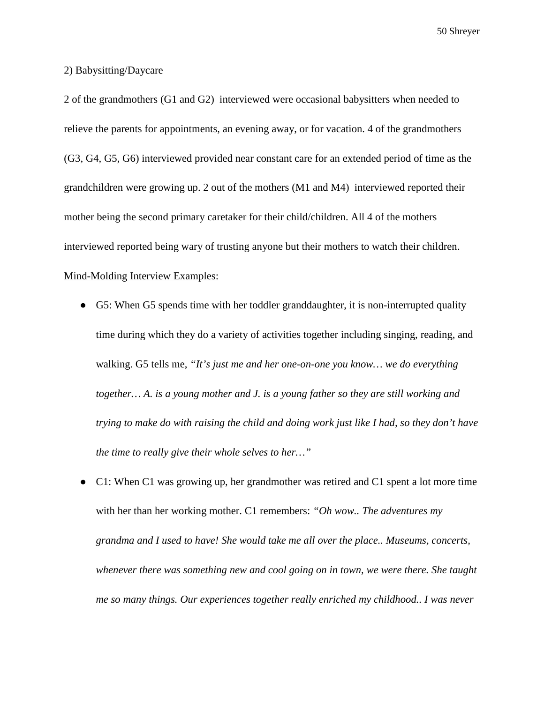#### 2) Babysitting/Daycare

2 of the grandmothers (G1 and G2) interviewed were occasional babysitters when needed to relieve the parents for appointments, an evening away, or for vacation. 4 of the grandmothers (G3, G4, G5, G6) interviewed provided near constant care for an extended period of time as the grandchildren were growing up. 2 out of the mothers (M1 and M4) interviewed reported their mother being the second primary caretaker for their child/children. All 4 of the mothers interviewed reported being wary of trusting anyone but their mothers to watch their children. Mind-Molding Interview Examples:

- G5: When G5 spends time with her toddler granddaughter, it is non-interrupted quality time during which they do a variety of activities together including singing, reading, and walking. G5 tells me, *"It's just me and her one-on-one you know… we do everything together… A. is a young mother and J. is a young father so they are still working and trying to make do with raising the child and doing work just like I had, so they don't have the time to really give their whole selves to her…"*
- C1: When C1 was growing up, her grandmother was retired and C1 spent a lot more time with her than her working mother. C1 remembers: *"Oh wow.. The adventures my grandma and I used to have! She would take me all over the place.. Museums, concerts, whenever there was something new and cool going on in town, we were there. She taught me so many things. Our experiences together really enriched my childhood.. I was never*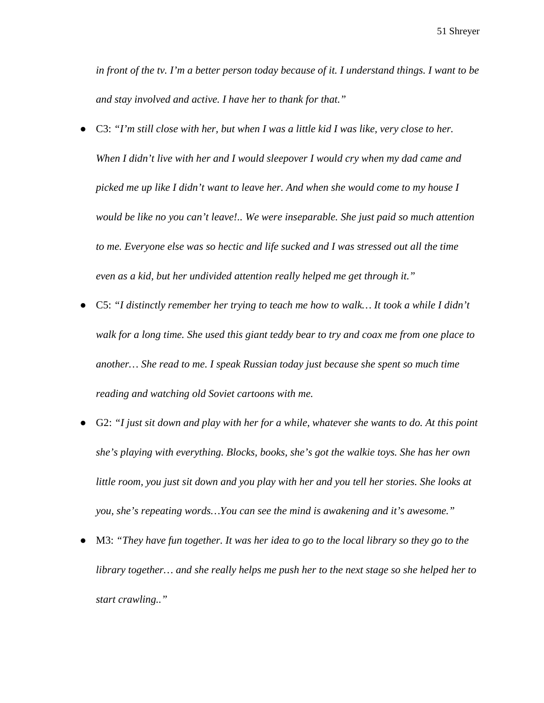*in front of the tv. I'm a better person today because of it. I understand things. I want to be and stay involved and active. I have her to thank for that."*

- C3: *"I'm still close with her, but when I was a little kid I was like, very close to her. When I didn't live with her and I would sleepover I would cry when my dad came and picked me up like I didn't want to leave her. And when she would come to my house I would be like no you can't leave!.. We were inseparable. She just paid so much attention to me. Everyone else was so hectic and life sucked and I was stressed out all the time even as a kid, but her undivided attention really helped me get through it."*
- C5: "I distinctly remember her trying to teach me how to walk... It took a while I didn't *walk for a long time. She used this giant teddy bear to try and coax me from one place to another… She read to me. I speak Russian today just because she spent so much time reading and watching old Soviet cartoons with me.*
- G2: "I just sit down and play with her for a while, whatever she wants to do. At this point *she's playing with everything. Blocks, books, she's got the walkie toys. She has her own little room, you just sit down and you play with her and you tell her stories. She looks at you, she's repeating words…You can see the mind is awakening and it's awesome."*
- M3: *"They have fun together. It was her idea to go to the local library so they go to the library together… and she really helps me push her to the next stage so she helped her to start crawling.."*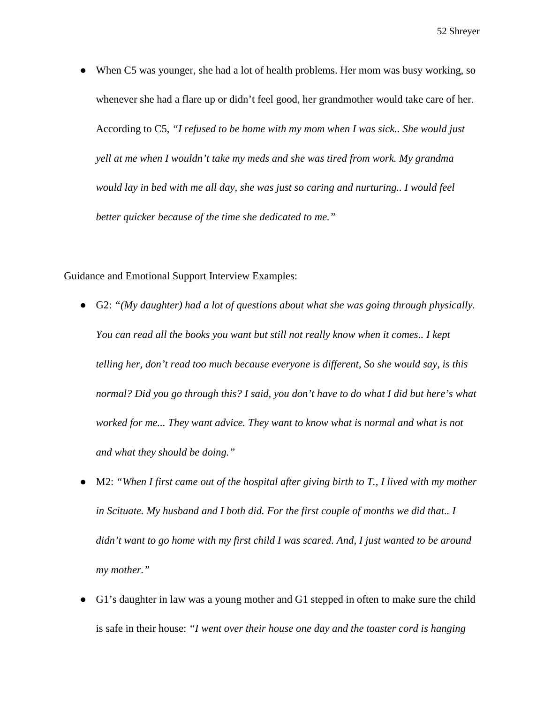When C5 was younger, she had a lot of health problems. Her mom was busy working, so whenever she had a flare up or didn't feel good, her grandmother would take care of her. According to C5, *"I refused to be home with my mom when I was sick.. She would just yell at me when I wouldn't take my meds and she was tired from work. My grandma would lay in bed with me all day, she was just so caring and nurturing.. I would feel better quicker because of the time she dedicated to me."*

#### Guidance and Emotional Support Interview Examples:

- G2: "(My daughter) had a lot of questions about what she was going through physically. *You can read all the books you want but still not really know when it comes.. I kept telling her, don't read too much because everyone is different, So she would say, is this normal? Did you go through this? I said, you don't have to do what I did but here's what*  worked for me... They want advice. They want to know what is normal and what is not *and what they should be doing."*
- M2: "When I first came out of the hospital after giving birth to T., I lived with my mother *in Scituate. My husband and I both did. For the first couple of months we did that.. I didn't want to go home with my first child I was scared. And, I just wanted to be around my mother."*
- G1's daughter in law was a young mother and G1 stepped in often to make sure the child is safe in their house: *"I went over their house one day and the toaster cord is hanging*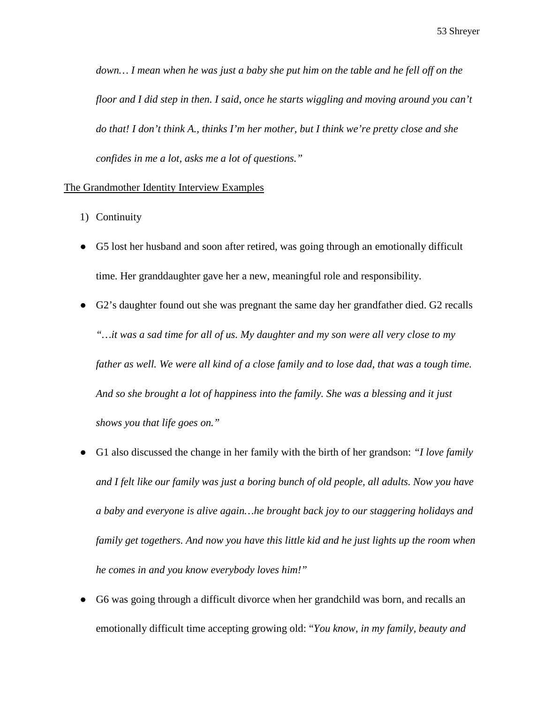down... I mean when he was just a baby she put him on the table and he fell off on the *floor and I did step in then. I said, once he starts wiggling and moving around you can't do that! I don't think A., thinks I'm her mother, but I think we're pretty close and she confides in me a lot, asks me a lot of questions."*

#### The Grandmother Identity Interview Examples

- 1) Continuity
- G5 lost her husband and soon after retired, was going through an emotionally difficult time. Her granddaughter gave her a new, meaningful role and responsibility.
- G2's daughter found out she was pregnant the same day her grandfather died. G2 recalls *"…it was a sad time for all of us. My daughter and my son were all very close to my*  father as well. We were all kind of a close family and to lose dad, that was a tough time. *And so she brought a lot of happiness into the family. She was a blessing and it just shows you that life goes on."*
- G1 also discussed the change in her family with the birth of her grandson: *"I love family and I felt like our family was just a boring bunch of old people, all adults. Now you have a baby and everyone is alive again…he brought back joy to our staggering holidays and family get togethers. And now you have this little kid and he just lights up the room when he comes in and you know everybody loves him!"*
- G6 was going through a difficult divorce when her grandchild was born, and recalls an emotionally difficult time accepting growing old: "*You know, in my family, beauty and*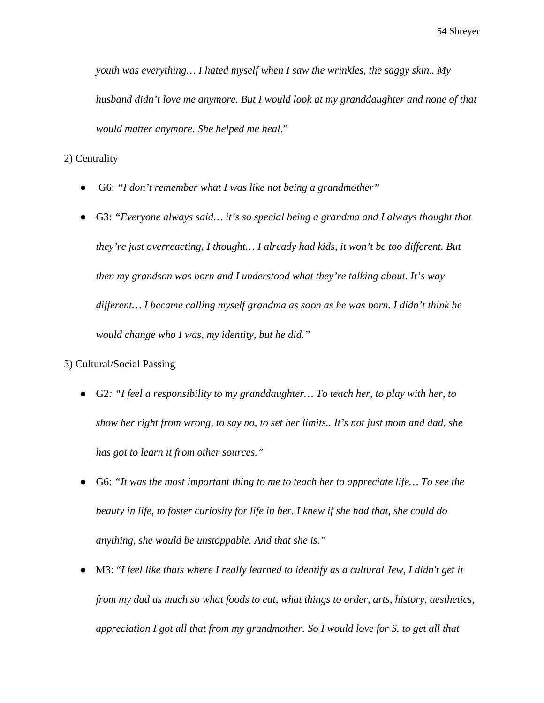*youth was everything… I hated myself when I saw the wrinkles, the saggy skin.. My husband didn't love me anymore. But I would look at my granddaughter and none of that would matter anymore. She helped me heal*."

2) Centrality

- G6: "I don't remember what I was like not being a grandmother"
- G3: *"Everyone always said… it's so special being a grandma and I always thought that they're just overreacting, I thought… I already had kids, it won't be too different. But then my grandson was born and I understood what they're talking about. It's way different… I became calling myself grandma as soon as he was born. I didn't think he would change who I was, my identity, but he did."*
- 3) Cultural/Social Passing
	- G2*: "I feel a responsibility to my granddaughter… To teach her, to play with her, to show her right from wrong, to say no, to set her limits.. It's not just mom and dad, she has got to learn it from other sources."*
	- G6: *"It was the most important thing to me to teach her to appreciate life… To see the beauty in life, to foster curiosity for life in her. I knew if she had that, she could do anything, she would be unstoppable. And that she is."*
	- M3: "I feel like thats where I really learned to identify as a cultural Jew, I didn't get it *from my dad as much so what foods to eat, what things to order, arts, history, aesthetics, appreciation I got all that from my grandmother. So I would love for S. to get all that*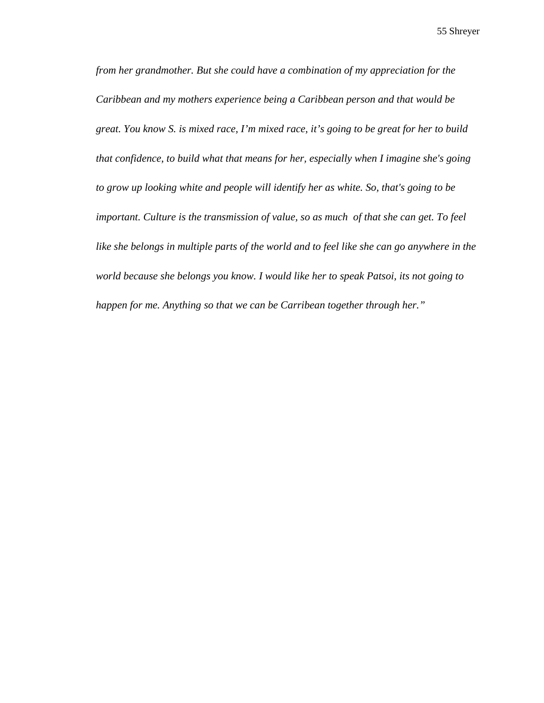*from her grandmother. But she could have a combination of my appreciation for the Caribbean and my mothers experience being a Caribbean person and that would be great. You know S. is mixed race, I'm mixed race, it's going to be great for her to build that confidence, to build what that means for her, especially when I imagine she's going to grow up looking white and people will identify her as white. So, that's going to be important. Culture is the transmission of value, so as much of that she can get. To feel like she belongs in multiple parts of the world and to feel like she can go anywhere in the world because she belongs you know. I would like her to speak Patsoi, its not going to happen for me. Anything so that we can be Carribean together through her."*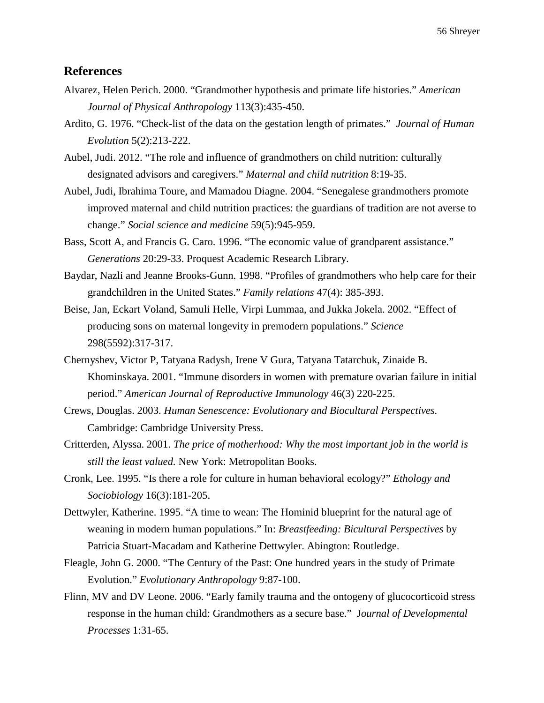#### **References**

- Alvarez, Helen Perich. 2000. "Grandmother hypothesis and primate life histories." *American cccccJournal of Physical Anthropology* 113(3):435-450.
- Ardito, G. 1976. "Check-list of the data on the gestation length of primates." *Journal of Human cccccEvolution* 5(2):213-222.
- Aubel, Judi. 2012. "The role and influence of grandmothers on child nutrition: culturally designated advisors and caregivers." *Maternal and child nutrition* 8:19-35.
- Aubel, Judi, Ibrahima Toure, and Mamadou Diagne. 2004. "Senegalese grandmothers promote improved maternal and child nutrition practices: the guardians of tradition are not averse to change." *Social science and medicine* 59(5):945-959.
- Bass, Scott A, and Francis G. Caro. 1996. "The economic value of grandparent assistance." Generations 20:29-33. Proquest Academic Research Library.
- Baydar, Nazli and Jeanne Brooks-Gunn. 1998. "Profiles of grandmothers who help care for their grandchildren in the United States." *Family relations* 47(4): 385-393.
- Beise, Jan, Eckart Voland, Samuli Helle, Virpi Lummaa, and Jukka Jokela. 2002. "Effect of producing sons on maternal longevity in premodern populations." *Science* ccccc298(5592):317-317.
- Chernyshev, Victor P, Tatyana Radysh, Irene V Gura, Tatyana Tatarchuk, Zinaide B. Khominskaya. 2001. "Immune disorders in women with premature ovarian failure in initial period." *American Journal of Reproductive Immunology* 46(3) 220-225.
- Crews, Douglas. 2003. *Human Senescence: Evolutionary and Biocultural Perspectives.* Cambridge: Cambridge University Press.
- Critterden, Alyssa. 2001. *The price of motherhood: Why the most important job in the world is cccccstill the least valued.* New York: Metropolitan Books.
- Cronk, Lee. 1995. "Is there a role for culture in human behavioral ecology?" *Ethology and cccccSociobiology* 16(3):181-205.
- Dettwyler, Katherine. 1995. "A time to wean: The Hominid blueprint for the natural age of weaning in modern human populations." In: *Breastfeeding: Bicultural Perspectives* by Patricia Stuart-Macadam and Katherine Dettwyler. Abington: Routledge.
- Fleagle, John G. 2000. "The Century of the Past: One hundred years in the study of Primate Evolution." *Evolutionary Anthropology* 9:87-100.
- Flinn, MV and DV Leone. 2006. "Early family trauma and the ontogeny of glucocorticoid stress cccccresponse in the human child: Grandmothers as a secure base." J*ournal of Developmental cccccProcesses* 1:31-65.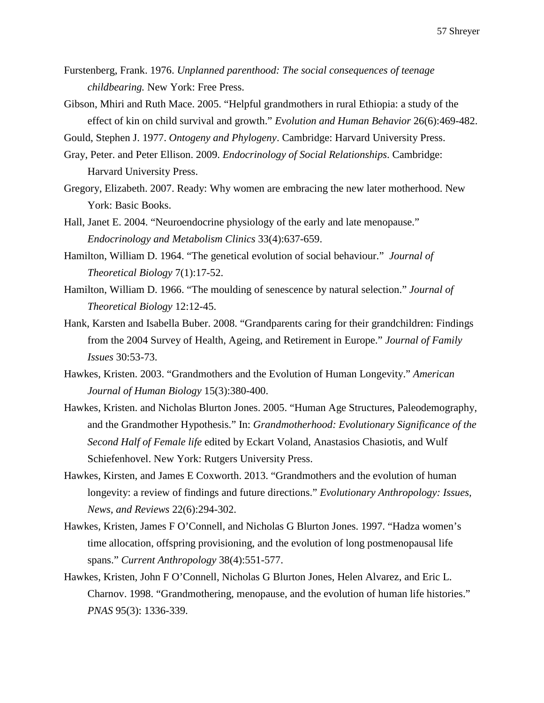- Furstenberg, Frank. 1976. *Unplanned parenthood: The social consequences of teenage childbearing.* New York: Free Press.
- Gibson, Mhiri and Ruth Mace. 2005. "Helpful grandmothers in rural Ethiopia: a study of the effect of kin on child survival and growth." *Evolution and Human Behavior* 26(6):469-482.

Gould, Stephen J. 1977. *Ontogeny and Phylogeny*. Cambridge: Harvard University Press.

- Gray, Peter. and Peter Ellison. 2009. *Endocrinology of Social Relationships*. Cambridge: **Harvard University Press.**
- Gregory, Elizabeth. 2007. Ready: Why women are embracing the new later motherhood. New York: Basic Books.
- Hall, Janet E. 2004. "Neuroendocrine physiology of the early and late menopause." Endocrinology and Metabolism Clinics 33(4):637-659.
- Hamilton, William D. 1964. "The genetical evolution of social behaviour." *Journal of cccccTheoretical Biology* 7(1):17-52.
- Hamilton, William D. 1966. "The moulding of senescence by natural selection." *Journal of cccccTheoretical Biology* 12:12-45.
- Hank, Karsten and Isabella Buber. 2008. "Grandparents caring for their grandchildren: Findings from the 2004 Survey of Health, Ageing, and Retirement in Europe." *Journal of Family cccccIssues* 30:53-73.
- Hawkes, Kristen. 2003. "Grandmothers and the Evolution of Human Longevity." *American cccccJournal of Human Biology* 15(3):380-400.
- Hawkes, Kristen. and Nicholas Blurton Jones. 2005. "Human Age Structures, Paleodemography, and the Grandmother Hypothesis." In: *Grandmotherhood: Evolutionary Significance of the Second Half of Female life* edited by Eckart Voland, Anastasios Chasiotis, and Wulf Schiefenhovel. New York: Rutgers University Press.
- Hawkes, Kirsten, and James E Coxworth. 2013. "Grandmothers and the evolution of human longevity: a review of findings and future directions." *Evolutionary Anthropology: Issues, cccccNews, and Reviews* 22(6):294-302.
- Hawkes, Kristen, James F O'Connell, and Nicholas G Blurton Jones. 1997. "Hadza women's time allocation, offspring provisioning, and the evolution of long postmenopausal life spans." *Current Anthropology* 38(4):551-577.
- Hawkes, Kristen, John F O'Connell, Nicholas G Blurton Jones, Helen Alvarez, and Eric L. Charnov. 1998. "Grandmothering, menopause, and the evolution of human life histories." ccccc*PNAS* 95(3): 1336-339.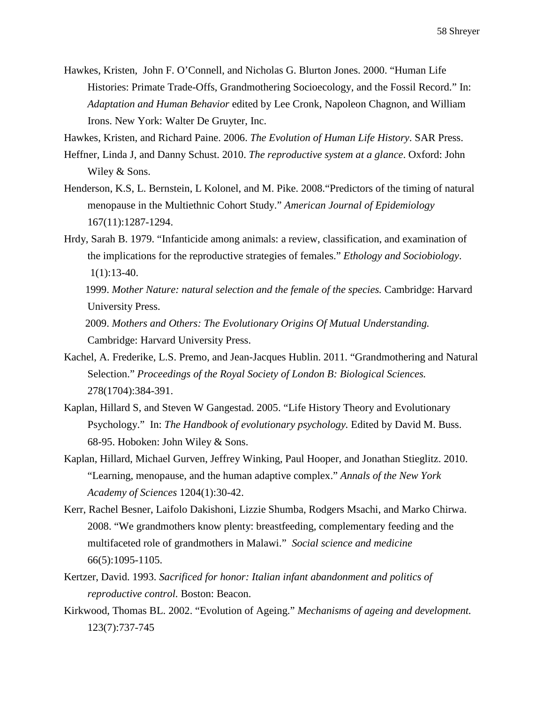Hawkes, Kristen, John F. O'Connell, and Nicholas G. Blurton Jones. 2000. "Human Life Histories: Primate Trade-Offs, Grandmothering Socioecology, and the Fossil Record." In: Adaptation and Human Behavior edited by Lee Cronk, Napoleon Chagnon, and William Irons. New York: Walter De Gruyter, Inc.

Hawkes, Kristen, and Richard Paine. 2006. *The Evolution of Human Life History*. SAR Press.

- Heffner, Linda J, and Danny Schust. 2010. *The reproductive system at a glance*. Oxford: John Wiley & Sons.
- Henderson, K.S, L. Bernstein, L Kolonel, and M. Pike. 2008."Predictors of the timing of natural menopause in the Multiethnic Cohort Study." *American Journal of Epidemiology* ccccc167(11):1287-1294.
- Hrdy, Sarah B. 1979. "Infanticide among animals: a review, classification, and examination of cccccthe implications for the reproductive strategies of females." *Ethology and Sociobiology*.  $1(1):13-40.$

 1999. *Mother Nature: natural selection and the female of the species.* Cambridge: Harvard University Press.

 2009. *Mothers and Others: The Evolutionary Origins Of Mutual Understanding.* Cambridge: Harvard University Press.

- Kachel, A. Frederike, L.S. Premo, and Jean-Jacques Hublin. 2011. "Grandmothering and Natural Selection." *Proceedings of the Royal Society of London B: Biological Sciences.* ccccc278(1704):384-391.
- Kaplan, Hillard S, and Steven W Gangestad. 2005. "Life History Theory and Evolutionary Psychology." In: *The Handbook of evolutionary psychology*. Edited by David M. Buss. 68-95. Hoboken: John Wiley  $&$  Sons.
- Kaplan, Hillard, Michael Gurven, Jeffrey Winking, Paul Hooper, and Jonathan Stieglitz. 2010. ccccc"Learning, menopause, and the human adaptive complex." *Annals of the New York cccccAcademy of Sciences* 1204(1):30-42.
- Kerr, Rachel Besner, Laifolo Dakishoni, Lizzie Shumba, Rodgers Msachi, and Marko Chirwa. 2008. "We grandmothers know plenty: breastfeeding, complementary feeding and the multifaceted role of grandmothers in Malawi." *Social science and medicine*  $66(5):1095-1105.$
- Kertzer, David. 1993. *Sacrificed for honor: Italian infant abandonment and politics of cccccreproductive control.* Boston: Beacon.
- Kirkwood, Thomas BL. 2002. "Evolution of Ageing." *Mechanisms of ageing and development.* 123(7):737-745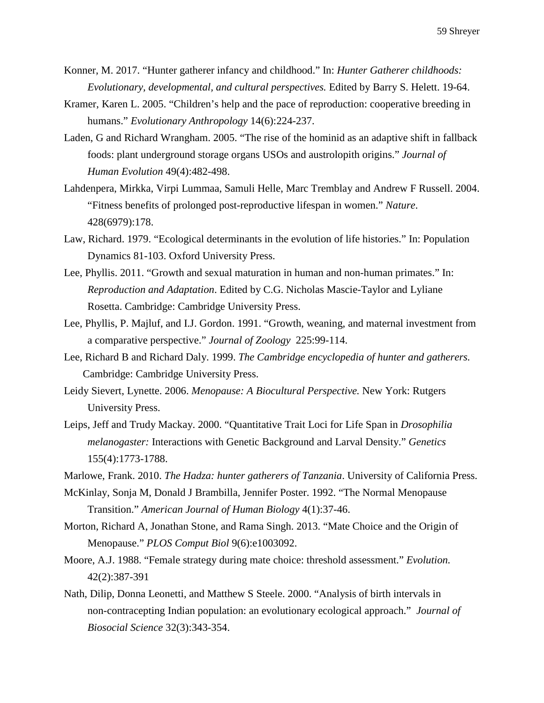- Konner, M. 2017. "Hunter gatherer infancy and childhood." In: *Hunter Gatherer childhoods: cccccEvolutionary, developmental, and cultural perspectives.* Edited by Barry S. Helett. 19-64.
- Kramer, Karen L. 2005. "Children's help and the pace of reproduction: cooperative breeding in humans." *Evolutionary Anthropology* 14(6):224-237.
- Laden, G and Richard Wrangham. 2005. "The rise of the hominid as an adaptive shift in fallback foods: plant underground storage organs USOs and austrolopith origins." *Journal of cccccHuman Evolution* 49(4):482-498.
- Lahdenpera, Mirkka, Virpi Lummaa, Samuli Helle, Marc Tremblay and Andrew F Russell. 2004. ccccc"Fitness benefits of prolonged post-reproductive lifespan in women." *Nature*. ccccc428(6979):178.
- Law, Richard. 1979. "Ecological determinants in the evolution of life histories." In: Population Dynamics 81-103. Oxford University Press.
- Lee, Phyllis. 2011. "Growth and sexual maturation in human and non-human primates." In: Reproduction and Adaptation. Edited by C.G. Nicholas Mascie-Taylor and Lyliane Rosetta. Cambridge: Cambridge University Press.
- Lee, Phyllis, P. Majluf, and I.J. Gordon. 1991. "Growth, weaning, and maternal investment from ccccca comparative perspective." *Journal of Zoology* 225:99-114.
- Lee, Richard B and Richard Daly. 1999. *The Cambridge encyclopedia of hunter and gatherers.* Cambridge: Cambridge University Press.
- Leidy Sievert, Lynette. 2006. *Menopause: A Biocultural Perspective.* New York: Rutgers University Press.
- Leips, Jeff and Trudy Mackay. 2000. "Quantitative Trait Loci for Life Span in *Drosophilia melanogaster:* Interactions with Genetic Background and Larval Density." *Genetics* 155(4):1773-1788.
- Marlowe, Frank. 2010. *The Hadza: hunter gatherers of Tanzania*. University of California Press.
- McKinlay, Sonja M, Donald J Brambilla, Jennifer Poster. 1992. "The Normal Menopause cccccTransition." *American Journal of Human Biology* 4(1):37-46.
- Morton, Richard A, Jonathan Stone, and Rama Singh. 2013. "Mate Choice and the Origin of Menopause." *PLOS Comput Biol* 9(6):e1003092.
- Moore, A.J. 1988. "Female strategy during mate choice: threshold assessment." *Evolution.*  ccccc42(2):387-391
- Nath, Dilip, Donna Leonetti, and Matthew S Steele. 2000. "Analysis of birth intervals in non-contracepting Indian population: an evolutionary ecological approach." *Journal of cccccBiosocial Science* 32(3):343-354.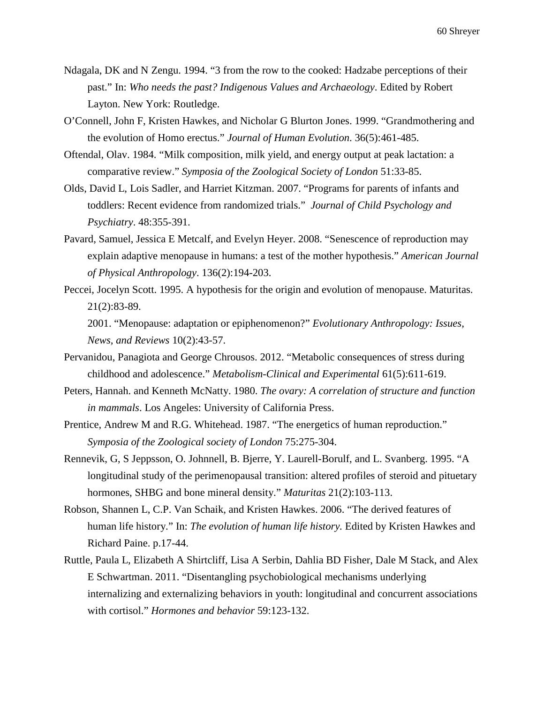- Ndagala, DK and N Zengu. 1994. "3 from the row to the cooked: Hadzabe perceptions of their past." In: *Who needs the past? Indigenous Values and Archaeology*. Edited by Robert Layton. New York: Routledge.
- O'Connell, John F, Kristen Hawkes, and Nicholar G Blurton Jones. 1999. "Grandmothering and cccccthe evolution of Homo erectus." *Journal of Human Evolution*. 36(5):461-485.
- Oftendal, Olav. 1984. "Milk composition, milk yield, and energy output at peak lactation: a ccccccomparative review." *Symposia of the Zoological Society of London* 51:33-85.
- Olds, David L, Lois Sadler, and Harriet Kitzman. 2007. "Programs for parents of infants and toddlers: Recent evidence from randomized trials." *Journal of Child Psychology and cccccPsychiatry*. 48:355-391.
- Pavard, Samuel, Jessica E Metcalf, and Evelyn Heyer. 2008. "Senescence of reproduction may explain adaptive menopause in humans: a test of the mother hypothesis." *American Journal cccccof Physical Anthropology*. 136(2):194-203.
- Peccei, Jocelyn Scott. 1995. A hypothesis for the origin and evolution of menopause. Maturitas.  $21(2):83-89.$

2001. "Menopause: adaptation or epiphenomenon?" *Evolutionary Anthropology: Issues, cccccNews, and Reviews* 10(2):43-57.

- Pervanidou, Panagiota and George Chrousos. 2012. "Metabolic consequences of stress during childhood and adolescence." *Metabolism-Clinical and Experimental* 61(5):611-619.
- Peters, Hannah. and Kenneth McNatty. 1980. *The ovary: A correlation of structure and function in mammals*. Los Angeles: University of California Press.
- Prentice, Andrew M and R.G. Whitehead. 1987. "The energetics of human reproduction." Symposia of the Zoological society of London 75:275-304.
- Rennevik, G, S Jeppsson, O. Johnnell, B. Bjerre, Y. Laurell-Borulf, and L. Svanberg. 1995. "A longitudinal study of the perimenopausal transition: altered profiles of steroid and pituetary hormones, SHBG and bone mineral density." *Maturitas* 21(2):103-113.
- Robson, Shannen L, C.P. Van Schaik, and Kristen Hawkes. 2006. "The derived features of human life history." In: *The evolution of human life history*. Edited by Kristen Hawkes and Richard Paine. p.17-44.
- Ruttle, Paula L, Elizabeth A Shirtcliff, Lisa A Serbin, Dahlia BD Fisher, Dale M Stack, and Alex E Schwartman. 2011. "Disentangling psychobiological mechanisms underlying internalizing and externalizing behaviors in youth: longitudinal and concurrent associations with cortisol." *Hormones and behavior* 59:123-132.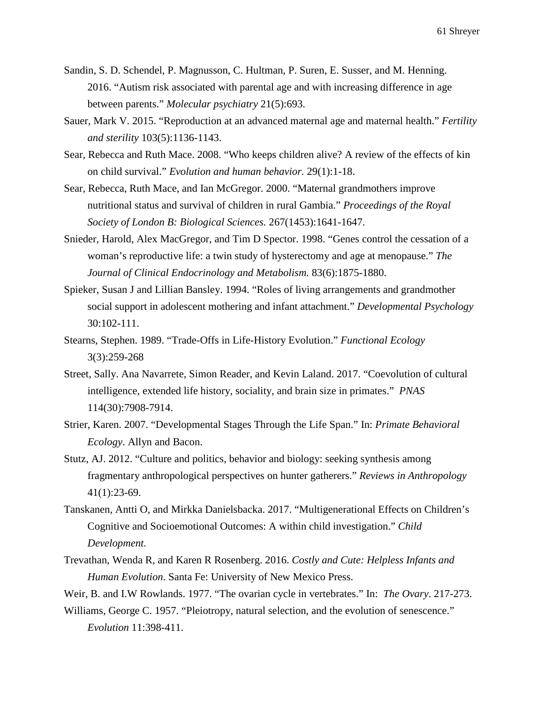- Sandin, S. D. Schendel, P. Magnusson, C. Hultman, P. Suren, E. Susser, and M. Henning. 2016. "Autism risk associated with parental age and with increasing difference in age between parents." *Molecular psychiatry* 21(5):693.
- Sauer, Mark V. 2015. "Reproduction at an advanced maternal age and maternal health." *Fertility cccccand sterility* 103(5):1136-1143.
- Sear, Rebecca and Ruth Mace. 2008. "Who keeps children alive? A review of the effects of kin cccccon child survival." *Evolution and human behavior.* 29(1):1-18.
- Sear, Rebecca, Ruth Mace, and Ian McGregor. 2000. "Maternal grandmothers improve cccccnutritional status and survival of children in rural Gambia." *Proceedings of the Royal cccccSociety of London B: Biological Sciences.* 267(1453):1641-1647.
- Snieder, Harold, Alex MacGregor, and Tim D Spector. 1998. "Genes control the cessation of a *ccccc*woman's reproductive life: a twin study of hysterectomy and age at menopause." *The cccccJournal of Clinical Endocrinology and Metabolism.* 83(6):1875-1880.
- Spieker, Susan J and Lillian Bansley. 1994. "Roles of living arrangements and grandmother social support in adolescent mothering and infant attachment." *Developmental Psychology*  $30:102-111.$
- Stearns, Stephen. 1989. "Trade-Offs in Life-History Evolution." *Functional Ecology ccccc*3(3):259-268
- Street, Sally. Ana Navarrete, Simon Reader, and Kevin Laland. 2017. "Coevolution of cultural intelligence, extended life history, sociality, and brain size in primates." *PNAS* 114(30):7908-7914.
- Strier, Karen. 2007. "Developmental Stages Through the Life Span." In: *Primate Behavioral cccccEcology*. Allyn and Bacon.
- Stutz, AJ. 2012. "Culture and politics, behavior and biology: seeking synthesis among fragmentary anthropological perspectives on hunter gatherers." *Reviews in Anthropology*  $41(1):23-69.$
- Tanskanen, Antti O, and Mirkka Danielsbacka. 2017. "Multigenerational Effects on Children's Cognitive and Socioemotional Outcomes: A within child investigation." *Child cccccDevelopment.*
- Trevathan, Wenda R, and Karen R Rosenberg. 2016. *Costly and Cute: Helpless Infants and Human Evolution.* Santa Fe: University of New Mexico Press.
- Weir, B. and I.W Rowlands. 1977. "The ovarian cycle in vertebrates." In: *The Ovary*. 217-273.
- Williams, George C. 1957. "Pleiotropy, natural selection, and the evolution of senescence." ccccc*Evolution* 11:398-411.